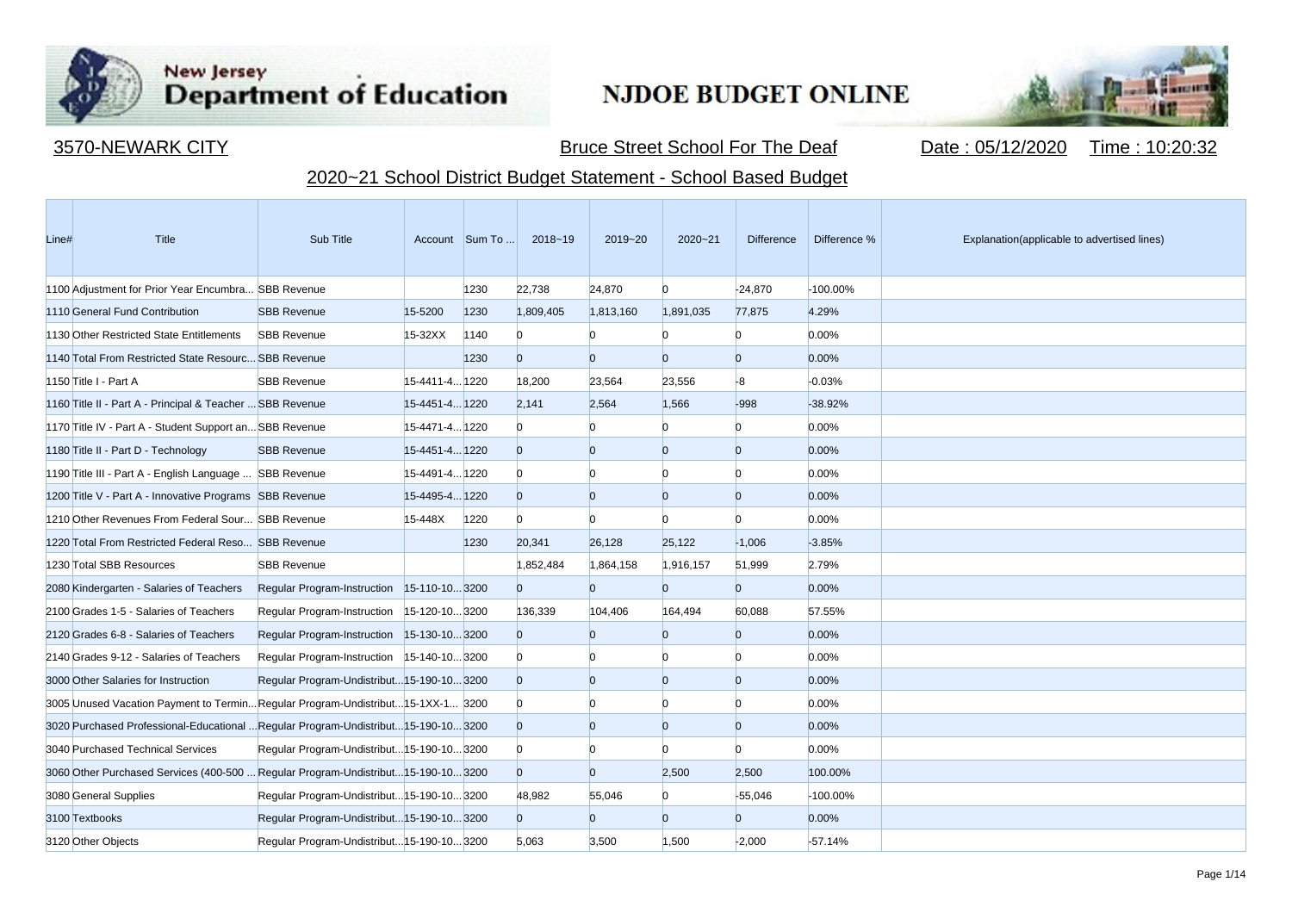

**Contract Contract** 

## New Jersey<br>Department of Education

## **NJDOE BUDGET ONLINE**



3570-NEWARK CITY **Bruce Street School For The Deaf** Date : 05/12/2020 Time : 10:20:32

## 2020~21 School District Budget Statement - School Based Budget

| Line# | Title                                                                               | Sub Title                                  |                | Account Sum To | 2018~19        | 2019~20        | $2020 - 21$    | <b>Difference</b> | Difference % | Explanation(applicable to advertised lines) |
|-------|-------------------------------------------------------------------------------------|--------------------------------------------|----------------|----------------|----------------|----------------|----------------|-------------------|--------------|---------------------------------------------|
|       | 1100 Adjustment for Prior Year Encumbra SBB Revenue                                 |                                            |                | 1230           | 22,738         | 24.870         | $\Omega$       | $-24,870$         | -100.00%     |                                             |
|       | 1110 General Fund Contribution                                                      | <b>SBB Revenue</b>                         | 15-5200        | 1230           | 1,809,405      | 1,813,160      | 1,891,035      | 77,875            | 4.29%        |                                             |
|       | 1130 Other Restricted State Entitlements                                            | <b>SBB Revenue</b>                         | 15-32XX        | 1140           | $\Omega$       | n              |                | $\overline{0}$    | 0.00%        |                                             |
|       | 1140 Total From Restricted State Resourc SBB Revenue                                |                                            |                | 1230           | $\Omega$       | $\Omega$       | $\Omega$       | $\overline{0}$    | 0.00%        |                                             |
|       | 1150 Title I - Part A                                                               | <b>SBB Revenue</b>                         | 15-4411-4 1220 |                | 18,200         | 23,564         | 23,556         | $-8$              | $-0.03%$     |                                             |
|       | 1160 Title II - Part A - Principal & Teacher  SBB Revenue                           |                                            | 15-4451-4 1220 |                | 2,141          | 2,564          | 1,566          | $-998$            | $-38.92%$    |                                             |
|       | 1170 Title IV - Part A - Student Support an SBB Revenue                             |                                            | 15-4471-4 1220 |                | $\Omega$       |                | n              | $\overline{0}$    | 0.00%        |                                             |
|       | 1180 Title II - Part D - Technology                                                 | <b>SBB Revenue</b>                         | 15-4451-4 1220 |                | $\overline{0}$ | $\overline{0}$ | $\Omega$       | $\overline{0}$    | 0.00%        |                                             |
|       | 1190 Title III - Part A - English Language  SBB Revenue                             |                                            | 15-4491-4 1220 |                | $\overline{0}$ | $\Omega$       | n              | $\Omega$          | 0.00%        |                                             |
|       | 1200 Title V - Part A - Innovative Programs SBB Revenue                             |                                            | 15-4495-4 1220 |                | $\overline{0}$ | $\overline{0}$ | $\overline{0}$ | $\overline{0}$    | 0.00%        |                                             |
|       | 1210 Other Revenues From Federal Sour SBB Revenue                                   |                                            | 15-448X        | 1220           | $\Omega$       | $\Omega$       | n              | <sup>0</sup>      | 0.00%        |                                             |
|       | 1220 Total From Restricted Federal Reso SBB Revenue                                 |                                            |                | 1230           | 20,341         | 26,128         | 25,122         | $-1,006$          | $-3.85%$     |                                             |
|       | 1230 Total SBB Resources                                                            | <b>SBB Revenue</b>                         |                |                | 1,852,484      | 1,864,158      | 1,916,157      | 51,999            | 2.79%        |                                             |
|       | 2080 Kindergarten - Salaries of Teachers                                            | Regular Program-Instruction 15-110-103200  |                |                | $\overline{0}$ | $\overline{0}$ | $\Omega$       | $\overline{0}$    | 0.00%        |                                             |
|       | 2100 Grades 1-5 - Salaries of Teachers                                              | Regular Program-Instruction 15-120-103200  |                |                | 136,339        | 104,406        | 164,494        | 60,088            | 57.55%       |                                             |
|       | 2120 Grades 6-8 - Salaries of Teachers                                              | Regular Program-Instruction 15-130-103200  |                |                | $\overline{0}$ | $\Omega$       | n              | $\overline{0}$    | 0.00%        |                                             |
|       | 2140 Grades 9-12 - Salaries of Teachers                                             | Regular Program-Instruction 15-140-10 3200 |                |                | $\Omega$       | n              |                | $\Omega$          | 0.00%        |                                             |
|       | 3000 Other Salaries for Instruction                                                 | Regular Program-Undistribut15-190-103200   |                |                | $\overline{0}$ | $\Omega$       | $\Omega$       | $\Omega$          | 0.00%        |                                             |
|       | 3005 Unused Vacation Payment to TerminRegular Program-Undistribut15-1XX-1 3200      |                                            |                |                | $\overline{0}$ |                | n              | $\mathbf{0}$      | 0.00%        |                                             |
|       | 3020 Purchased Professional-Educational  Regular Program-Undistribut 15-190-10 3200 |                                            |                |                | $\overline{0}$ | $\overline{0}$ | $\Omega$       | $\overline{0}$    | 0.00%        |                                             |
|       | 3040 Purchased Technical Services                                                   | Regular Program-Undistribut 15-190-10 3200 |                |                | $\Omega$       | n              | n              | $\Omega$          | 0.00%        |                                             |
|       | 3060 Other Purchased Services (400-500  Regular Program-Undistribut15-190-103200    |                                            |                |                | $\overline{0}$ | $\Omega$       | 2,500          | 2,500             | 100.00%      |                                             |
|       | 3080 General Supplies                                                               | Regular Program-Undistribut 15-190-10 3200 |                |                | 48,982         | 55,046         | $\Omega$       | $-55,046$         | -100.00%     |                                             |
|       | 3100 Textbooks                                                                      | Regular Program-Undistribut 15-190-10 3200 |                |                | $\overline{0}$ | $\Omega$       | $\Omega$       | $\overline{0}$    | 0.00%        |                                             |
|       | 3120 Other Objects                                                                  | Regular Program-Undistribut 15-190-10 3200 |                |                | 5,063          | 3,500          | 1,500          | $-2,000$          | $-57.14%$    |                                             |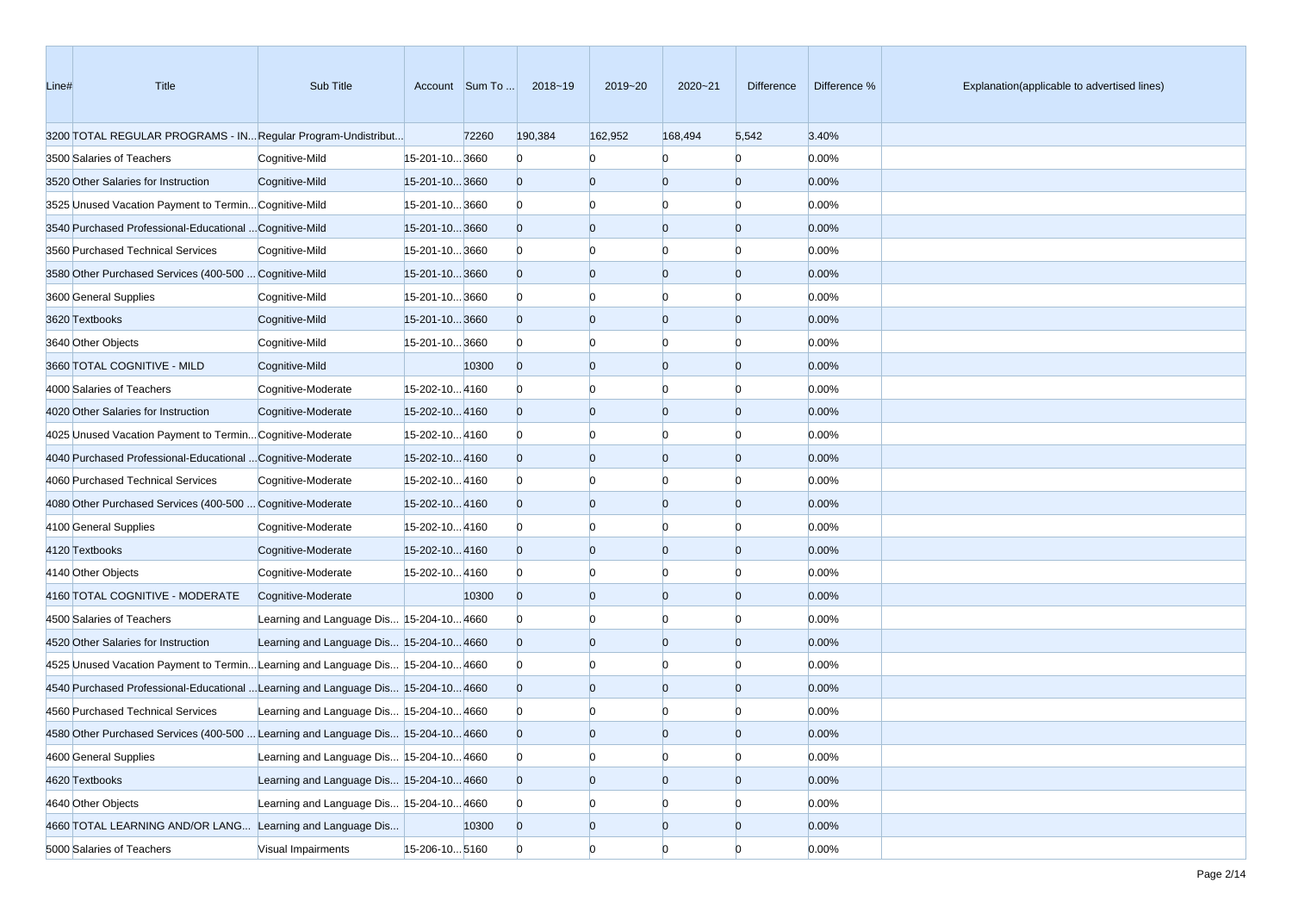| Line# | Title                                                                             | Sub Title                                |                | Account Sum To | 2018~19        | 2019~20        | 2020~21        | Difference     | Difference % | Explanation(applicable to advertised lines) |
|-------|-----------------------------------------------------------------------------------|------------------------------------------|----------------|----------------|----------------|----------------|----------------|----------------|--------------|---------------------------------------------|
|       | 3200 TOTAL REGULAR PROGRAMS - IN Regular Program-Undistribut                      |                                          |                | 72260          | 190,384        | 162,952        | 168,494        | 5,542          | 3.40%        |                                             |
|       | 3500 Salaries of Teachers                                                         | Cognitive-Mild                           | 15-201-10 3660 |                | $\mathbf{0}$   | $\Omega$       | n              | $\Omega$       | 0.00%        |                                             |
|       | 3520 Other Salaries for Instruction                                               | Cognitive-Mild                           | 15-201-103660  |                | $\overline{0}$ | $\overline{0}$ | $\overline{0}$ | $\overline{0}$ | 0.00%        |                                             |
|       | 3525 Unused Vacation Payment to Termin Cognitive-Mild                             |                                          | 15-201-103660  |                | $\mathbf{0}$   | $\Omega$       | $\Omega$       | $\Omega$       | 0.00%        |                                             |
|       | 3540 Purchased Professional-Educational  Cognitive-Mild                           |                                          | 15-201-103660  |                | $\overline{0}$ | $\overline{0}$ | $\overline{0}$ | $\Omega$       | 0.00%        |                                             |
|       | 3560 Purchased Technical Services                                                 | Cognitive-Mild                           | 15-201-103660  |                | $\mathbf{0}$   | $\Omega$       | $\Omega$       | n              | 0.00%        |                                             |
|       | 3580 Other Purchased Services (400-500  Cognitive-Mild                            |                                          | 15-201-103660  |                | $\overline{0}$ | $\overline{0}$ | $\overline{0}$ | $\Omega$       | 0.00%        |                                             |
|       | 3600 General Supplies                                                             | Cognitive-Mild                           | 15-201-103660  |                | $\Omega$       | $\Omega$       | $\Omega$       | n              | 0.00%        |                                             |
|       | 3620 Textbooks                                                                    | Cognitive-Mild                           | 15-201-10 3660 |                | $\overline{0}$ | $\overline{0}$ | $\overline{0}$ | $\Omega$       | 0.00%        |                                             |
|       | 3640 Other Objects                                                                | Cognitive-Mild                           | 15-201-103660  |                | $\Omega$       | $\overline{0}$ | $\Omega$       | n              | 0.00%        |                                             |
|       | 3660 TOTAL COGNITIVE - MILD                                                       | Cognitive-Mild                           |                | 10300          | $\overline{0}$ | $\overline{0}$ | $\overline{0}$ | $\overline{0}$ | 0.00%        |                                             |
|       | 4000 Salaries of Teachers                                                         | Cognitive-Moderate                       | 15-202-104160  |                | $\bf{0}$       | $\bf{0}$       | $\Omega$       | n              | 0.00%        |                                             |
|       | 4020 Other Salaries for Instruction                                               | Cognitive-Moderate                       | 15-202-104160  |                | $\overline{0}$ | $\overline{0}$ | $\overline{0}$ | $\Omega$       | 0.00%        |                                             |
|       | 4025 Unused Vacation Payment to Termin Cognitive-Moderate                         |                                          | 15-202-104160  |                | $\bf{0}$       | $\Omega$       | $\Omega$       | n              | 0.00%        |                                             |
|       | 4040 Purchased Professional-Educational  Cognitive-Moderate                       |                                          | 15-202-104160  |                | $\overline{0}$ | $\overline{0}$ | $\overline{0}$ | $\Omega$       | 0.00%        |                                             |
|       | 4060 Purchased Technical Services                                                 | Cognitive-Moderate                       | 15-202-104160  |                | $\Omega$       | $\Omega$       | $\Omega$       | n              | 0.00%        |                                             |
|       | 4080 Other Purchased Services (400-500  Cognitive-Moderate                        |                                          | 15-202-104160  |                | $\overline{0}$ | $\overline{0}$ | $\overline{0}$ | $\overline{0}$ | 0.00%        |                                             |
|       | 4100 General Supplies                                                             | Cognitive-Moderate                       | 15-202-104160  |                | $\bf{0}$       | $\overline{0}$ | $\Omega$       | n              | 0.00%        |                                             |
|       | 4120 Textbooks                                                                    | Cognitive-Moderate                       | 15-202-104160  |                | $\overline{0}$ | $\overline{0}$ | $\overline{0}$ | $\Omega$       | 0.00%        |                                             |
|       | 4140 Other Objects                                                                | Cognitive-Moderate                       | 15-202-104160  |                | $\Omega$       | $\bf{0}$       | $\Omega$       | n              | 0.00%        |                                             |
|       | 4160 TOTAL COGNITIVE - MODERATE                                                   | Cognitive-Moderate                       |                | 10300          | $\mathbf{0}$   | $\overline{0}$ | $\overline{0}$ | $\Omega$       | 0.00%        |                                             |
|       | 4500 Salaries of Teachers                                                         | Learning and Language Dis 15-204-10 4660 |                |                | $\Omega$       | $\Omega$       | $\Omega$       |                | 0.00%        |                                             |
|       | 4520 Other Salaries for Instruction                                               | Learning and Language Dis 15-204-10 4660 |                |                | $\overline{0}$ | $\overline{0}$ | $\overline{0}$ | $\Omega$       | 0.00%        |                                             |
|       | 4525 Unused Vacation Payment to Termin Learning and Language Dis 15-204-10 4660   |                                          |                |                | $\Omega$       | $\Omega$       | $\Omega$       | n              | 0.00%        |                                             |
|       | 4540 Purchased Professional-Educational  Learning and Language Dis 15-204-10 4660 |                                          |                |                | $\overline{0}$ | $\overline{0}$ | $\overline{0}$ | $\Omega$       | 0.00%        |                                             |
|       | 4560 Purchased Technical Services                                                 | Learning and Language Dis 15-204-10 4660 |                |                | $\bf{0}$       |                |                |                | 0.00%        |                                             |
|       | 4580 Other Purchased Services (400-500  Learning and Language Dis 15-204-10 4660  |                                          |                |                | $\Omega$       | $\Omega$       | $\Omega$       |                | 0.00%        |                                             |
|       | 4600 General Supplies                                                             | Learning and Language Dis 15-204-10 4660 |                |                | $\overline{0}$ | $\overline{0}$ | $\overline{0}$ | $\overline{0}$ | 0.00%        |                                             |
|       | 4620 Textbooks                                                                    | Learning and Language Dis 15-204-10 4660 |                |                | $\overline{0}$ | $\overline{0}$ | $\overline{0}$ | $\mathbf{0}$   | 0.00%        |                                             |
|       | 4640 Other Objects                                                                | Learning and Language Dis 15-204-104660  |                |                | $\Omega$       | $\overline{0}$ | $\bf{0}$       |                | 0.00%        |                                             |
|       | 4660 TOTAL LEARNING AND/OR LANG Learning and Language Dis                         |                                          |                | 10300          | $\overline{0}$ | $\overline{0}$ | $\overline{0}$ | $\overline{0}$ | 0.00%        |                                             |
|       | 5000 Salaries of Teachers                                                         | Visual Impairments                       | 15-206-10 5160 |                | $\overline{0}$ | $\overline{0}$ | $\overline{0}$ | $\overline{0}$ | 0.00%        |                                             |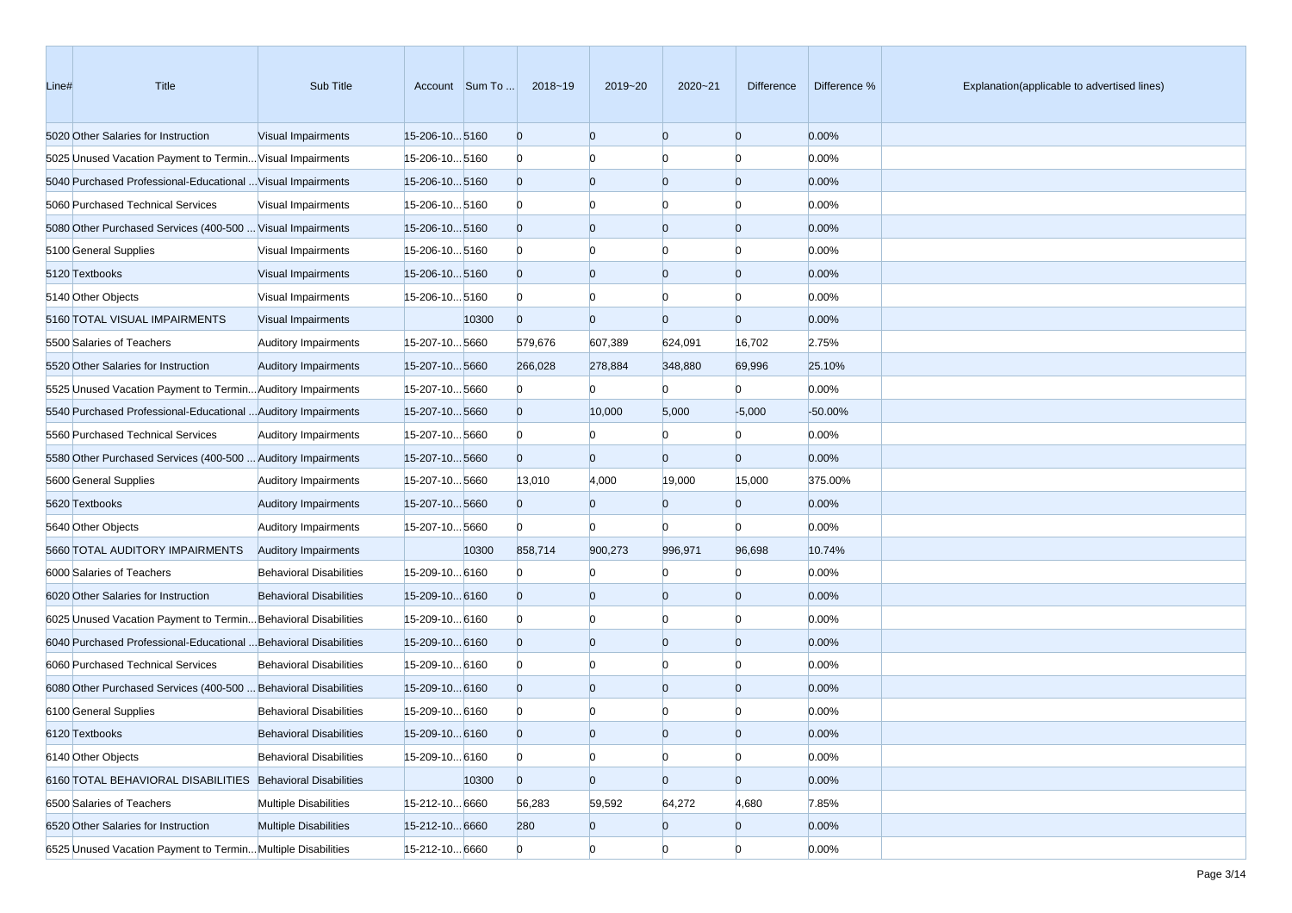| Line# | Title                                                            | Sub Title                      |                | Account Sum To | 2018~19        | 2019~20        | 2020~21        | Difference     | Difference % | Explanation(applicable to advertised lines) |
|-------|------------------------------------------------------------------|--------------------------------|----------------|----------------|----------------|----------------|----------------|----------------|--------------|---------------------------------------------|
|       | 5020 Other Salaries for Instruction                              | Visual Impairments             | 15-206-105160  |                | $\overline{0}$ | $\overline{0}$ | $\overline{0}$ | $\overline{0}$ | 0.00%        |                                             |
|       | 5025 Unused Vacation Payment to Termin Visual Impairments        |                                | 15-206-105160  |                | $\mathbf{0}$   | $\Omega$       | $\Omega$       | $\Omega$       | 0.00%        |                                             |
|       | 5040 Purchased Professional-Educational  Visual Impairments      |                                | 15-206-105160  |                | $\overline{0}$ | $\overline{0}$ | $\overline{0}$ | $\overline{0}$ | 0.00%        |                                             |
|       | 5060 Purchased Technical Services                                | Visual Impairments             | 15-206-10 5160 |                | $\mathbf{0}$   | $\Omega$       | $\Omega$       | n              | 0.00%        |                                             |
|       | 5080 Other Purchased Services (400-500  Visual Impairments       |                                | 15-206-105160  |                | $\overline{0}$ | $\Omega$       | $\overline{0}$ | $\Omega$       | 0.00%        |                                             |
|       | 5100 General Supplies                                            | Visual Impairments             | 15-206-105160  |                | $\mathbf{0}$   | $\Omega$       | $\Omega$       | n              | 0.00%        |                                             |
|       | 5120 Textbooks                                                   | Visual Impairments             | 15-206-10 5160 |                | $\overline{0}$ | $\overline{0}$ | $\overline{0}$ | $\overline{0}$ | 0.00%        |                                             |
|       | 5140 Other Objects                                               | Visual Impairments             | 15-206-10 5160 |                | $\mathbf{0}$   | $\Omega$       | $\Omega$       | $\Omega$       | 0.00%        |                                             |
|       | 5160 TOTAL VISUAL IMPAIRMENTS                                    | Visual Impairments             |                | 10300          | $\overline{0}$ | $\Omega$       | $\overline{0}$ | $\overline{0}$ | 0.00%        |                                             |
|       | 5500 Salaries of Teachers                                        | <b>Auditory Impairments</b>    | 15-207-105660  |                | 579,676        | 607,389        | 624,091        | 16,702         | 2.75%        |                                             |
|       | 5520 Other Salaries for Instruction                              | <b>Auditory Impairments</b>    | 15-207-105660  |                | 266,028        | 278,884        | 348,880        | 69,996         | 25.10%       |                                             |
|       | 5525 Unused Vacation Payment to Termin Auditory Impairments      |                                | 15-207-105660  |                | $\mathbf{0}$   |                | $\Omega$       | $\Omega$       | 0.00%        |                                             |
|       | 5540 Purchased Professional-Educational  Auditory Impairments    |                                | 15-207-105660  |                | $\overline{0}$ | 10,000         | 5,000          | $-5,000$       | $-50.00%$    |                                             |
|       | 5560 Purchased Technical Services                                | <b>Auditory Impairments</b>    | 15-207-105660  |                | $\mathbf{0}$   | $\Omega$       | n              | $\Omega$       | 0.00%        |                                             |
|       | 5580 Other Purchased Services (400-500  Auditory Impairments     |                                | 15-207-105660  |                | $\overline{0}$ | $\overline{0}$ | $\Omega$       | $\overline{0}$ | 0.00%        |                                             |
|       | 5600 General Supplies                                            | <b>Auditory Impairments</b>    | 15-207-105660  |                | 13,010         | 4,000          | 19,000         | 15,000         | 375.00%      |                                             |
|       | 5620 Textbooks                                                   | <b>Auditory Impairments</b>    | 15-207-105660  |                | $\overline{0}$ | $\Omega$       | $\Omega$       | $\overline{0}$ | 0.00%        |                                             |
|       | 5640 Other Objects                                               | <b>Auditory Impairments</b>    | 15-207-105660  |                | $\Omega$       |                | $\Omega$       | $\Omega$       | 0.00%        |                                             |
|       | 5660 TOTAL AUDITORY IMPAIRMENTS                                  | <b>Auditory Impairments</b>    |                | 10300          | 858,714        | 900,273        | 996,971        | 96,698         | 10.74%       |                                             |
|       | 6000 Salaries of Teachers                                        | <b>Behavioral Disabilities</b> | 15-209-10 6160 |                | $\mathbf{0}$   |                | $\Omega$       | $\Omega$       | 0.00%        |                                             |
|       | 6020 Other Salaries for Instruction                              | <b>Behavioral Disabilities</b> | 15-209-10 6160 |                | $\mathbf{0}$   | $\Omega$       | $\overline{0}$ | $\overline{0}$ | 0.00%        |                                             |
|       | 6025 Unused Vacation Payment to Termin Behavioral Disabilities   |                                | 15-209-10 6160 |                | $\mathbf{0}$   | $\Omega$       | $\Omega$       | n              | 0.00%        |                                             |
|       | 6040 Purchased Professional-Educational  Behavioral Disabilities |                                | 15-209-10 6160 |                | $\overline{0}$ | $\Omega$       | $\overline{0}$ | $\Omega$       | 0.00%        |                                             |
|       | 6060 Purchased Technical Services                                | <b>Behavioral Disabilities</b> | 15-209-10 6160 |                | $\mathbf{0}$   | $\Omega$       | $\Omega$       | n              | 0.00%        |                                             |
|       | 6080 Other Purchased Services (400-500  Behavioral Disabilities  |                                | 15-209-10 6160 |                | $\overline{0}$ | $\Omega$       | $\overline{0}$ | $\Omega$       | 0.00%        |                                             |
|       | 6100 General Supplies                                            | <b>Behavioral Disabilities</b> | 15-209-10 6160 |                | $\mathbf{0}$   |                |                |                | 0.00%        |                                             |
|       | 6120 Textbooks                                                   | <b>Behavioral Disabilities</b> | 15-209-10 6160 |                | $\Omega$       | $\Omega$       |                |                | 0.00%        |                                             |
|       | 6140 Other Objects                                               | <b>Behavioral Disabilities</b> | 15-209-10 6160 |                | $\overline{0}$ | $\bf{0}$       | $\overline{0}$ | $\overline{0}$ | 0.00%        |                                             |
|       | 6160 TOTAL BEHAVIORAL DISABILITIES Behavioral Disabilities       |                                |                | 10300          | $\overline{0}$ | $\overline{0}$ | $\overline{0}$ | $\overline{0}$ | 0.00%        |                                             |
|       | 6500 Salaries of Teachers                                        | <b>Multiple Disabilities</b>   | 15-212-10 6660 |                | 56,283         | 59,592         | 64,272         | 4,680          | 7.85%        |                                             |
|       | 6520 Other Salaries for Instruction                              | <b>Multiple Disabilities</b>   | 15-212-106660  |                | 280            | $\mathbf{0}$   | $\overline{0}$ | $\overline{0}$ | 0.00%        |                                             |
|       | 6525 Unused Vacation Payment to Termin Multiple Disabilities     |                                | 15-212-10 6660 |                | $\overline{0}$ | $\overline{0}$ | $\overline{0}$ | $\overline{0}$ | 0.00%        |                                             |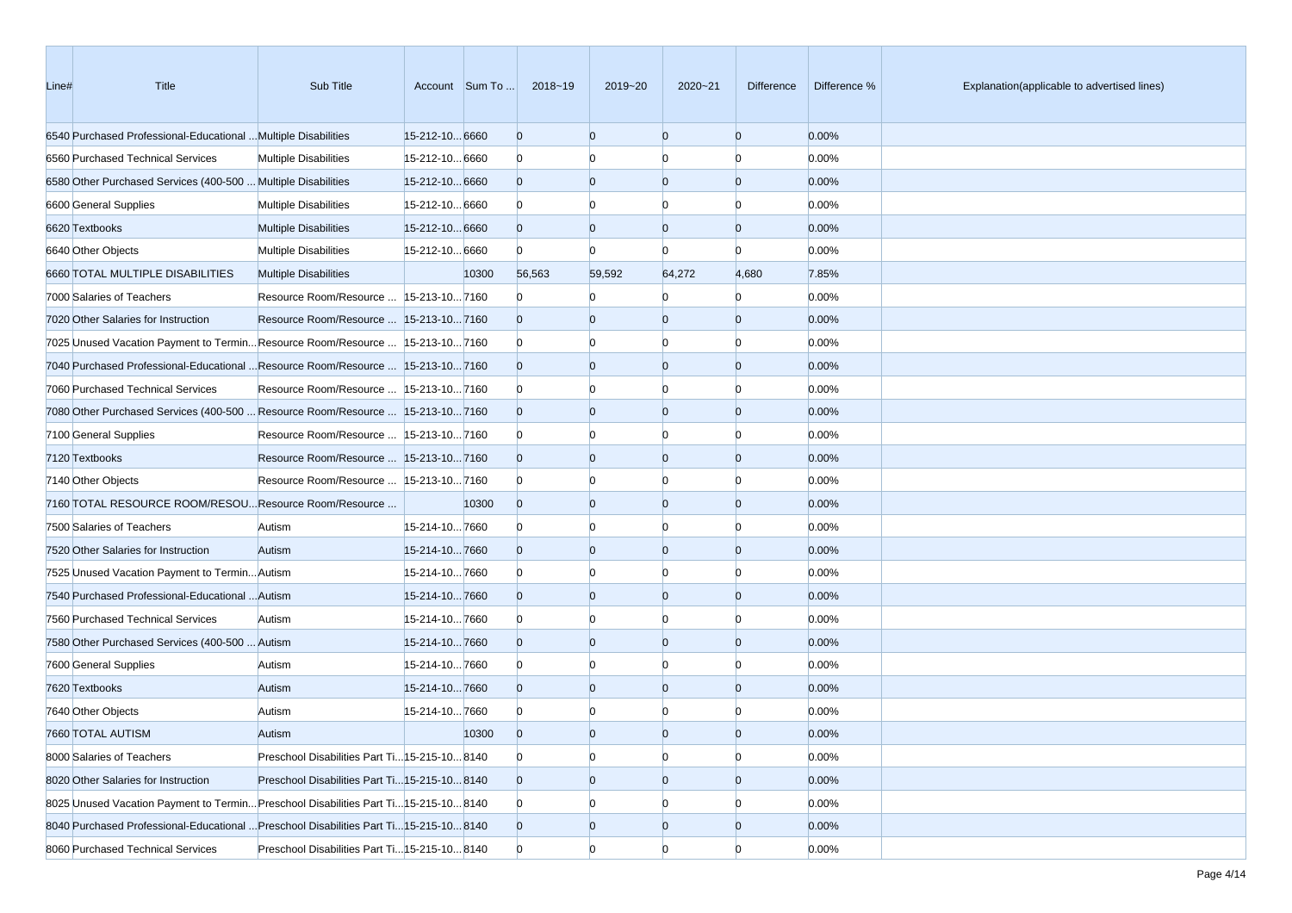| Line# | Title                                                                                 | Sub Title                                     |                | Account Sum To | 2018~19        | 2019~20        | 2020~21        | Difference     | Difference % | Explanation(applicable to advertised lines) |
|-------|---------------------------------------------------------------------------------------|-----------------------------------------------|----------------|----------------|----------------|----------------|----------------|----------------|--------------|---------------------------------------------|
|       | 6540 Purchased Professional-Educational  Multiple Disabilities                        |                                               | 15-212-10 6660 |                | $\overline{0}$ | $\overline{0}$ | $\overline{0}$ | $\overline{0}$ | 0.00%        |                                             |
|       | 6560 Purchased Technical Services                                                     | <b>Multiple Disabilities</b>                  | 15-212-10 6660 |                | $\bf{0}$       | $\Omega$       | $\Omega$       | $\Omega$       | 0.00%        |                                             |
|       | 6580 Other Purchased Services (400-500  Multiple Disabilities                         |                                               | 15-212-10 6660 |                | $\overline{0}$ | $\overline{0}$ | $\overline{0}$ | $\overline{0}$ | 0.00%        |                                             |
|       | 6600 General Supplies                                                                 | <b>Multiple Disabilities</b>                  | 15-212-10 6660 |                | $\bf{0}$       | $\Omega$       | $\Omega$       | n              | 0.00%        |                                             |
|       | 6620 Textbooks                                                                        | <b>Multiple Disabilities</b>                  | 15-212-10 6660 |                | $\overline{0}$ | $\overline{0}$ | $\overline{0}$ | $\Omega$       | 0.00%        |                                             |
|       | 6640 Other Objects                                                                    | <b>Multiple Disabilities</b>                  | 15-212-10 6660 |                | $\Omega$       | $\Omega$       | n              | n              | 0.00%        |                                             |
|       | 6660 TOTAL MULTIPLE DISABILITIES                                                      | <b>Multiple Disabilities</b>                  |                | 10300          | 56,563         | 59,592         | 64,272         | 4,680          | 7.85%        |                                             |
|       | 7000 Salaries of Teachers                                                             | Resource Room/Resource   15-213-10 7160       |                |                | $\Omega$       |                | n              | $\Omega$       | 0.00%        |                                             |
|       | 7020 Other Salaries for Instruction                                                   | Resource Room/Resource  15-213-107160         |                |                | $\overline{0}$ | $\overline{0}$ | $\overline{0}$ | $\Omega$       | 0.00%        |                                             |
|       | 7025 Unused Vacation Payment to TerminResource Room/Resource  15-213-107160           |                                               |                |                | $\bf{0}$       | $\Omega$       | $\Omega$       | n              | 0.00%        |                                             |
|       | 7040 Purchased Professional-Educational  Resource Room/Resource  15-213-10 7160       |                                               |                |                | $\overline{0}$ | $\overline{0}$ | $\overline{0}$ | $\Omega$       | 0.00%        |                                             |
|       | 7060 Purchased Technical Services                                                     | Resource Room/Resource   15-213-10 7160       |                |                | $\Omega$       | $\Omega$       | $\Omega$       | n              | 0.00%        |                                             |
|       | 7080 Other Purchased Services (400-500  Resource Room/Resource  15-213-10 7160        |                                               |                |                | $\overline{0}$ | $\overline{0}$ | $\overline{0}$ | $\Omega$       | 0.00%        |                                             |
|       | 7100 General Supplies                                                                 | Resource Room/Resource   15-213-10 7160       |                |                | $\Omega$       | $\Omega$       | $\Omega$       | n              | 0.00%        |                                             |
|       | 7120 Textbooks                                                                        | Resource Room/Resource   15-213-10 7160       |                |                | $\overline{0}$ | $\Omega$       | $\Omega$       | $\Omega$       | 0.00%        |                                             |
|       | 7140 Other Objects                                                                    | Resource Room/Resource   15-213-10 7160       |                |                | $\Omega$       | $\Omega$       | $\Omega$       | n              | 0.00%        |                                             |
|       | 7160 TOTAL RESOURCE ROOM/RESOU Resource Room/Resource                                 |                                               |                | 10300          | $\overline{0}$ | $\overline{0}$ | $\overline{0}$ | $\Omega$       | 0.00%        |                                             |
|       | 7500 Salaries of Teachers                                                             | Autism                                        | 15-214-107660  |                | $\bf{0}$       | $\Omega$       | $\Omega$       | n              | 0.00%        |                                             |
|       | 7520 Other Salaries for Instruction                                                   | Autism                                        | 15-214-107660  |                | $\overline{0}$ | $\overline{0}$ | $\overline{0}$ | $\Omega$       | 0.00%        |                                             |
|       | 7525 Unused Vacation Payment to Termin Autism                                         |                                               | 15-214-107660  |                | $\Omega$       | $\Omega$       | $\Omega$       | n              | 0.00%        |                                             |
|       | 7540 Purchased Professional-Educational  Autism                                       |                                               | 15-214-107660  |                | $\overline{0}$ | $\overline{0}$ | $\overline{0}$ | $\Omega$       | 0.00%        |                                             |
|       | 7560 Purchased Technical Services                                                     | Autism                                        | 15-214-107660  |                | $\Omega$       | $\Omega$       | n              | n              | 0.00%        |                                             |
|       | 7580 Other Purchased Services (400-500  Autism                                        |                                               | 15-214-107660  |                | $\overline{0}$ | $\Omega$       | $\Omega$       | $\Omega$       | 0.00%        |                                             |
|       | 7600 General Supplies                                                                 | Autism                                        | 15-214-107660  |                | $\Omega$       | $\Omega$       | $\Omega$       | n              | 0.00%        |                                             |
|       | 7620 Textbooks                                                                        | Autism                                        | 15-214-107660  |                | $\overline{0}$ | $\overline{0}$ | $\overline{0}$ | $\Omega$       | 0.00%        |                                             |
|       | 7640 Other Objects                                                                    | Autism                                        | 15-214-107660  |                | $\Omega$       |                |                |                | 0.00%        |                                             |
|       | 7660 TOTAL AUTISM                                                                     | Autism                                        |                | 10300          | $\Omega$       | $\Omega$       | $\Omega$       |                | 0.00%        |                                             |
|       | 8000 Salaries of Teachers                                                             | Preschool Disabilities Part Ti 15-215-10 8140 |                |                | $\mathbf{0}$   | $\overline{0}$ | $\overline{0}$ | $\overline{0}$ | 0.00%        |                                             |
|       | 8020 Other Salaries for Instruction                                                   | Preschool Disabilities Part Ti 15-215-10 8140 |                |                | $\overline{0}$ | $\overline{0}$ | $\mathbf{0}$   | $\overline{0}$ | 0.00%        |                                             |
|       | 8025 Unused Vacation Payment to Termin Preschool Disabilities Part Ti 15-215-10 8140  |                                               |                |                | $\mathbf{0}$   | $\bf{0}$       | $\bf{0}$       | $\Omega$       | 0.00%        |                                             |
|       | 8040 Purchased Professional-Educational  Preschool Disabilities Part Ti15-215-10 8140 |                                               |                |                | $\overline{0}$ | $\mathbf{0}$   | $\mathbf{0}$   | $\overline{0}$ | 0.00%        |                                             |
|       | 8060 Purchased Technical Services                                                     | Preschool Disabilities Part Ti 15-215-10 8140 |                |                | $\mathbf{0}$   | $\overline{0}$ | $\Omega$       | $\Omega$       | 0.00%        |                                             |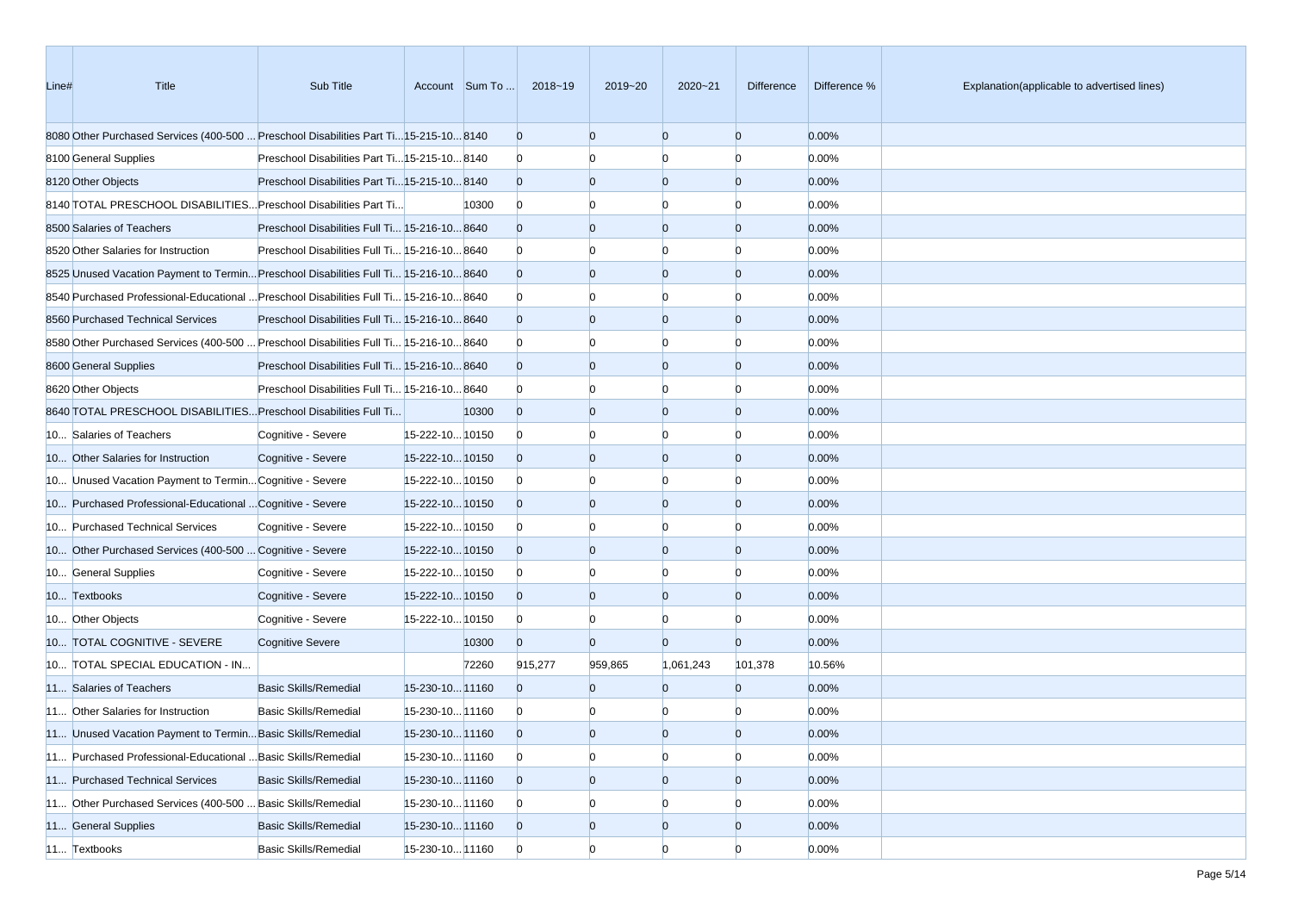| Line# | Title                                                                                  | Sub Title                                     |                 | Account Sum To | 2018~19        | 2019~20        | 2020~21        | Difference     | Difference % | Explanation(applicable to advertised lines) |
|-------|----------------------------------------------------------------------------------------|-----------------------------------------------|-----------------|----------------|----------------|----------------|----------------|----------------|--------------|---------------------------------------------|
|       | 8080 Other Purchased Services (400-500  Preschool Disabilities Part Ti15-215-10 8140   |                                               |                 |                | $\mathbf{0}$   | $\overline{0}$ | $\overline{0}$ | $\mathbf{0}$   | 0.00%        |                                             |
|       | 8100 General Supplies                                                                  | Preschool Disabilities Part Ti 15-215-10 8140 |                 |                | $\mathbf{0}$   | n              |                | n              | 0.00%        |                                             |
|       | 8120 Other Objects                                                                     | Preschool Disabilities Part Ti 15-215-10 8140 |                 |                | $\overline{0}$ | $\overline{0}$ | $\overline{0}$ | $\mathbf{0}$   | 0.00%        |                                             |
|       | 8140 TOTAL PRESCHOOL DISABILITIES Preschool Disabilities Part Ti                       |                                               |                 | 10300          | $\mathbf{0}$   | $\Omega$       | n              | n              | 0.00%        |                                             |
|       | 8500 Salaries of Teachers                                                              | Preschool Disabilities Full Ti 15-216-10 8640 |                 |                | $\mathbf{0}$   | $\overline{0}$ | $\overline{0}$ | $\mathbf{0}$   | 0.00%        |                                             |
|       | 8520 Other Salaries for Instruction                                                    | Preschool Disabilities Full Ti 15-216-10 8640 |                 |                | $\mathbf{0}$   | $\Omega$       | $\Omega$       | $\Omega$       | 0.00%        |                                             |
|       | 8525 Unused Vacation Payment to Termin Preschool Disabilities Full Ti 15-216-10 8640   |                                               |                 |                | $\overline{0}$ | $\overline{0}$ | $\overline{0}$ | $\mathbf{0}$   | 0.00%        |                                             |
|       | 8640 Purchased Professional-Educational  Preschool Disabilities Full Ti 15-216-10 8640 |                                               |                 |                | $\bf{0}$       | n              | n              | n              | 0.00%        |                                             |
|       | 8560 Purchased Technical Services                                                      | Preschool Disabilities Full Ti 15-216-10 8640 |                 |                | $\overline{0}$ | $\overline{0}$ | $\overline{0}$ | $\overline{0}$ | 0.00%        |                                             |
|       | 8680 Other Purchased Services (400-500  Preschool Disabilities Full Ti 15-216-10 8640  |                                               |                 |                | $\mathbf{0}$   | n              |                | n              | 0.00%        |                                             |
|       | 8600 General Supplies                                                                  | Preschool Disabilities Full Ti 15-216-10 8640 |                 |                | $\overline{0}$ | $\overline{0}$ | $\overline{0}$ | $\overline{0}$ | 0.00%        |                                             |
|       | 8620 Other Objects                                                                     | Preschool Disabilities Full Ti 15-216-10 8640 |                 |                | $\bf{0}$       | $\Omega$       | n              | n              | 0.00%        |                                             |
|       | 8640 TOTAL PRESCHOOL DISABILITIES Preschool Disabilities Full Ti                       |                                               |                 | 10300          | $\mathbf{0}$   | $\overline{0}$ | $\overline{0}$ | $\mathbf{0}$   | 0.00%        |                                             |
|       | 10 Salaries of Teachers                                                                | Cognitive - Severe                            | 15-222-10 10150 |                | $\bf{0}$       | $\Omega$       | $\Omega$       | n              | 0.00%        |                                             |
|       | 10 Other Salaries for Instruction                                                      | Cognitive - Severe                            | 15-222-1010150  |                | $\overline{0}$ | $\overline{0}$ | $\overline{0}$ | $\overline{0}$ | 0.00%        |                                             |
|       | 10 Unused Vacation Payment to Termin Cognitive - Severe                                |                                               | 15-222-10 10150 |                | $\bf{0}$       | n              | n              | n              | 0.00%        |                                             |
|       | 10 Purchased Professional-Educational  Cognitive - Severe                              |                                               | 15-222-10 10150 |                | $\overline{0}$ | $\overline{0}$ | $\overline{0}$ | $\overline{0}$ | 0.00%        |                                             |
|       | 10 Purchased Technical Services                                                        | Cognitive - Severe                            | 15-222-10 10150 |                | $\bf{0}$       | n              |                | n              | 0.00%        |                                             |
|       | 10 Other Purchased Services (400-500  Cognitive - Severe                               |                                               | 15-222-10 10150 |                | $\overline{0}$ | $\overline{0}$ | $\overline{0}$ | $\overline{0}$ | 0.00%        |                                             |
|       | 10 General Supplies                                                                    | Cognitive - Severe                            | 15-222-10 10150 |                | $\bf{0}$       | $\Omega$       | n              | $\Omega$       | 0.00%        |                                             |
|       | 10 Textbooks                                                                           | Cognitive - Severe                            | 15-222-10 10150 |                | $\overline{0}$ | $\overline{0}$ | $\overline{0}$ | $\overline{0}$ | 0.00%        |                                             |
|       | 10 Other Objects                                                                       | Cognitive - Severe                            | 15-222-10 10150 |                | $\bf{0}$       | $\Omega$       | n              | $\Omega$       | 0.00%        |                                             |
|       | 10 TOTAL COGNITIVE - SEVERE                                                            | <b>Cognitive Severe</b>                       |                 | 10300          | $\overline{0}$ | $\overline{0}$ | $\Omega$       | $\overline{0}$ | 0.00%        |                                             |
|       | 10 TOTAL SPECIAL EDUCATION - IN                                                        |                                               |                 | 72260          | 915,277        | 959,865        | 1,061,243      | 101,378        | 10.56%       |                                             |
|       | 11 Salaries of Teachers                                                                | <b>Basic Skills/Remedial</b>                  | 15-230-10 11160 |                | $\Omega$       | $\overline{0}$ | $\Omega$       | $\overline{0}$ | 0.00%        |                                             |
|       | 11 Other Salaries for Instruction                                                      | <b>Basic Skills/Remedial</b>                  | 15-230-10 11160 |                | $\bf{0}$       | n              |                | n              | 0.00%        |                                             |
|       | 11 Unused Vacation Payment to Termin Basic Skills/Remedial                             |                                               | 15-230-10 11160 |                | $\overline{0}$ | $\Omega$       | $\Omega$       | $\Omega$       | 0.00%        |                                             |
|       | 11 Purchased Professional-Educational  Basic Skills/Remedial                           |                                               | 15-230-10 11160 |                | $\overline{0}$ | $\overline{0}$ | $\overline{0}$ | $\overline{0}$ | 0.00%        |                                             |
|       | 11 Purchased Technical Services                                                        | <b>Basic Skills/Remedial</b>                  | 15-230-10 11160 |                | $\mathbf{0}$   | $\mathbf{0}$   | $\overline{0}$ | $\overline{0}$ | 0.00%        |                                             |
|       | 11 Other Purchased Services (400-500  Basic Skills/Remedial                            |                                               | 15-230-10 11160 |                | $\mathbf{0}$   | $\overline{0}$ |                | $\Omega$       | 0.00%        |                                             |
|       | 11 General Supplies                                                                    | <b>Basic Skills/Remedial</b>                  | 15-230-10 11160 |                | $\overline{0}$ | $\mathbf{0}$   | $\mathbf{0}$   | $\overline{0}$ | 0.00%        |                                             |
|       | 11 Textbooks                                                                           | <b>Basic Skills/Remedial</b>                  | 15-230-10 11160 |                | $\overline{0}$ | $\overline{0}$ | $\Omega$       | $\Omega$       | 0.00%        |                                             |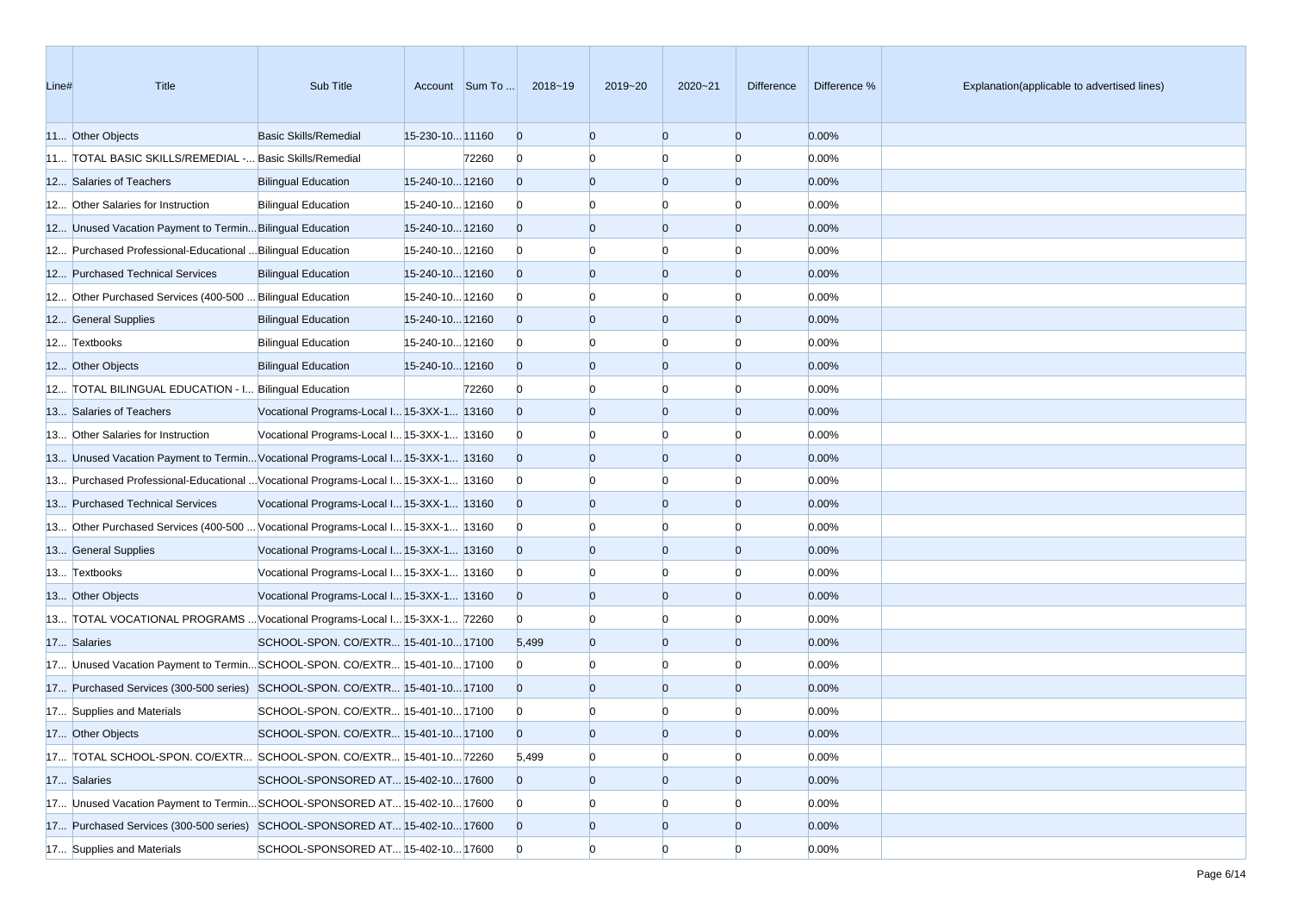| Line# | Title                                                                             | Sub Title                                  |                 | Account Sum To | 2018~19        | 2019~20        | $2020 - 21$    | <b>Difference</b> | Difference % | Explanation(applicable to advertised lines) |
|-------|-----------------------------------------------------------------------------------|--------------------------------------------|-----------------|----------------|----------------|----------------|----------------|-------------------|--------------|---------------------------------------------|
|       | 11 Other Objects                                                                  | <b>Basic Skills/Remedial</b>               | 15-230-10 11160 |                | $\overline{0}$ | $\Omega$       | $\Omega$       | $\overline{0}$    | 0.00%        |                                             |
|       | 11 TOTAL BASIC SKILLS/REMEDIAL - Basic Skills/Remedial                            |                                            |                 | 72260          | $\mathbf{0}$   |                | $\Omega$       | $\Omega$          | 0.00%        |                                             |
|       | 12 Salaries of Teachers                                                           | <b>Bilingual Education</b>                 | 15-240-10 12160 |                | $\overline{0}$ | $\Omega$       | $\overline{0}$ | $\overline{0}$    | 0.00%        |                                             |
|       | 12 Other Salaries for Instruction                                                 | <b>Bilingual Education</b>                 | 15-240-10 12160 |                | $\mathbf{0}$   |                | $\Omega$       | $\Omega$          | 0.00%        |                                             |
|       | 12 Unused Vacation Payment to Termin Bilingual Education                          |                                            | 15-240-10 12160 |                | $\overline{0}$ | $\Omega$       | $\overline{0}$ | $\overline{0}$    | 0.00%        |                                             |
|       | 12 Purchased Professional-Educational  Bilingual Education                        |                                            | 15-240-10 12160 |                | $\mathbf{0}$   |                | $\Omega$       | $\Omega$          | 0.00%        |                                             |
|       | 12 Purchased Technical Services                                                   | <b>Bilingual Education</b>                 | 15-240-10 12160 |                | $\overline{0}$ | $\Omega$       | $\Omega$       | $\Omega$          | 0.00%        |                                             |
|       | 12 Other Purchased Services (400-500  Bilingual Education                         |                                            | 15-240-10 12160 |                | $\mathbf{0}$   |                |                |                   | 0.00%        |                                             |
|       | 12 General Supplies                                                               | <b>Bilingual Education</b>                 | 15-240-10 12160 |                | $\overline{0}$ | $\Omega$       | $\Omega$       | $\Omega$          | 0.00%        |                                             |
|       | 12 Textbooks                                                                      | <b>Bilingual Education</b>                 | 15-240-10 12160 |                | $\overline{0}$ | $\Omega$       | $\Omega$       | $\Omega$          | 0.00%        |                                             |
|       | 12 Other Objects                                                                  | <b>Bilingual Education</b>                 | 15-240-10 12160 |                | $\overline{0}$ | $\Omega$       | $\overline{0}$ | $\overline{0}$    | 0.00%        |                                             |
|       | 12 TOTAL BILINGUAL EDUCATION - I Bilingual Education                              |                                            |                 | 72260          | $\bf{0}$       |                | $\Omega$       | $\Omega$          | 0.00%        |                                             |
|       | 13 Salaries of Teachers                                                           | Vocational Programs-Local I 15-3XX-1 13160 |                 |                | $\overline{0}$ | $\Omega$       | $\Omega$       | $\Omega$          | 0.00%        |                                             |
|       | 13 Other Salaries for Instruction                                                 | Vocational Programs-Local I 15-3XX-1 13160 |                 |                | $\overline{0}$ |                | $\Omega$       |                   | 0.00%        |                                             |
|       | 13 Unused Vacation Payment to Termin Vocational Programs-Local I 15-3XX-1 13160   |                                            |                 |                | $\overline{0}$ | $\Omega$       | $\Omega$       | $\Omega$          | 0.00%        |                                             |
|       | 13 Purchased Professional-Educational  Vocational Programs-Local I 15-3XX-1 13160 |                                            |                 |                | $\overline{0}$ |                | $\Omega$       | $\Omega$          | 0.00%        |                                             |
|       | 13 Purchased Technical Services                                                   | Vocational Programs-Local I 15-3XX-1 13160 |                 |                | $\overline{0}$ | $\Omega$       | $\overline{0}$ | $\overline{0}$    | 0.00%        |                                             |
|       | 13 Other Purchased Services (400-500  Vocational Programs-Local I 15-3XX-1 13160  |                                            |                 |                | $\bf{0}$       |                | $\Omega$       | $\Omega$          | 0.00%        |                                             |
|       | 13 General Supplies                                                               | Vocational Programs-Local I 15-3XX-1 13160 |                 |                | $\overline{0}$ | $\Omega$       | $\Omega$       | $\Omega$          | 0.00%        |                                             |
|       | 13 Textbooks                                                                      | Vocational Programs-Local I 15-3XX-1 13160 |                 |                | $\overline{0}$ |                |                |                   | 0.00%        |                                             |
|       | 13 Other Objects                                                                  | Vocational Programs-Local I 15-3XX-1 13160 |                 |                | $\overline{0}$ | $\Omega$       | $\overline{0}$ | $\Omega$          | 0.00%        |                                             |
|       | 13 TOTAL VOCATIONAL PROGRAMS  Vocational Programs-Local I 15-3XX-1 72260          |                                            |                 |                | $\overline{0}$ | $\Omega$       | $\Omega$       | $\Omega$          | 0.00%        |                                             |
|       | 17 Salaries                                                                       | SCHOOL-SPON. CO/EXTR  15-401-10 17100      |                 |                | 5,499          | $\Omega$       | $\Omega$       | $\Omega$          | 0.00%        |                                             |
|       | 17 Unused Vacation Payment to TerminSCHOOL-SPON. CO/EXTR 15-401-10 17100          |                                            |                 |                | $\overline{0}$ |                | $\Omega$       | $\Omega$          | 0.00%        |                                             |
|       | 17 Purchased Services (300-500 series) SCHOOL-SPON. CO/EXTR 15-401-10 17100       |                                            |                 |                | $\overline{0}$ | $\Omega$       | $\overline{0}$ | $\Omega$          | 0.00%        |                                             |
|       | 17 Supplies and Materials                                                         | SCHOOL-SPON. CO/EXTR 15-401-10 17100       |                 |                | $\bf{0}$       |                |                |                   | 0.00%        |                                             |
|       | 17 Other Objects                                                                  | SCHOOL-SPON. CO/EXTR 15-401-10 17100       |                 |                | $\Omega$       | $\Omega$       | $\Omega$       | $\Omega$          | 0.00%        |                                             |
|       | 17 TOTAL SCHOOL-SPON. CO/EXTR SCHOOL-SPON. CO/EXTR 15-401-10 72260                |                                            |                 |                | 5,499          | $\overline{0}$ | $\overline{0}$ | $\overline{0}$    | 0.00%        |                                             |
|       | 17 Salaries                                                                       | SCHOOL-SPONSORED AT 15-402-10 17600        |                 |                | $\overline{0}$ | $\overline{0}$ | $\overline{0}$ | $\overline{0}$    | 0.00%        |                                             |
|       | 17 Unused Vacation Payment to TerminSCHOOL-SPONSORED AT 15-402-10 17600           |                                            |                 |                | $\overline{0}$ |                | $\bf{0}$       |                   | 0.00%        |                                             |
|       | 17 Purchased Services (300-500 series) SCHOOL-SPONSORED AT 15-402-10 17600        |                                            |                 |                | $\overline{0}$ | $\overline{0}$ | $\overline{0}$ | $\overline{0}$    | 0.00%        |                                             |
|       | 17 Supplies and Materials                                                         | SCHOOL-SPONSORED AT 15-402-10 17600        |                 |                | $\overline{0}$ | $\Omega$       | $\overline{0}$ | $\Omega$          | 0.00%        |                                             |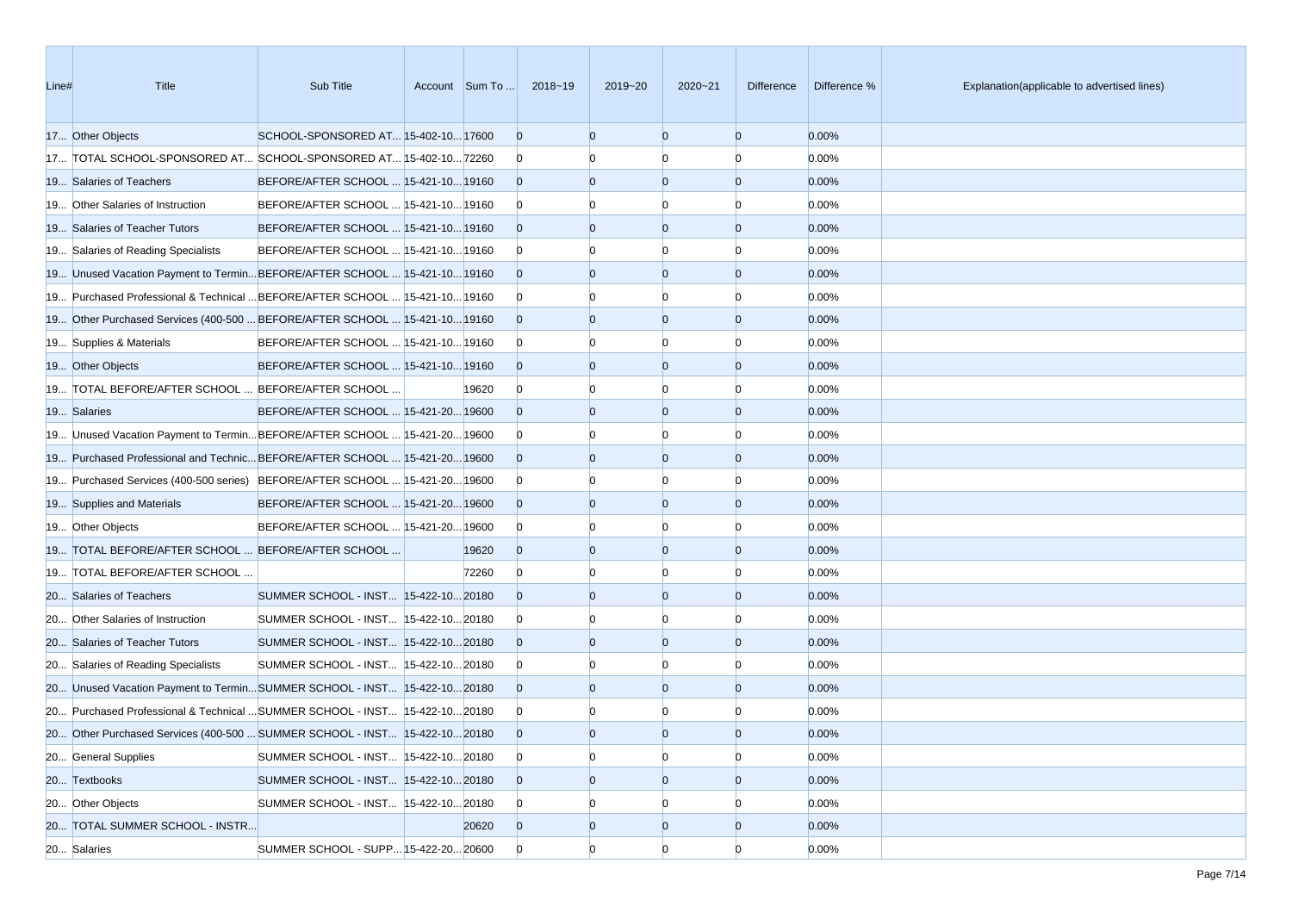| Line# | Title                                                                       | Sub Title                             | Account Sum To | 2018~19        | 2019~20        | 2020~21        | Difference     | Difference % | Explanation(applicable to advertised lines) |
|-------|-----------------------------------------------------------------------------|---------------------------------------|----------------|----------------|----------------|----------------|----------------|--------------|---------------------------------------------|
|       | 17 Other Objects                                                            | SCHOOL-SPONSORED AT 15-402-10 17600   |                | $\overline{0}$ | $\Omega$       | $\Omega$       | $\overline{0}$ | 0.00%        |                                             |
|       | 17 TOTAL SCHOOL-SPONSORED AT SCHOOL-SPONSORED AT 15-402-10 72260            |                                       |                | $\overline{0}$ | n              | n              | $\Omega$       | 0.00%        |                                             |
|       | 19 Salaries of Teachers                                                     | BEFORE/AFTER SCHOOL  15-421-10 19160  |                | $\overline{0}$ | $\mathbf{0}$   | $\overline{0}$ | $\overline{0}$ | 0.00%        |                                             |
|       | 19 Other Salaries of Instruction                                            | BEFORE/AFTER SCHOOL  15-421-10 19160  |                | $\overline{0}$ |                |                | $\Omega$       | 0.00%        |                                             |
|       | 19 Salaries of Teacher Tutors                                               | BEFORE/AFTER SCHOOL  15-421-10 19160  |                | $\overline{0}$ | $\Omega$       | $\Omega$       | $\overline{0}$ | 0.00%        |                                             |
|       | 19 Salaries of Reading Specialists                                          | BEFORE/AFTER SCHOOL  15-421-10 19160  |                | $\overline{0}$ |                |                | $\Omega$       | 0.00%        |                                             |
|       | 19 Unused Vacation Payment to TerminBEFORE/AFTER SCHOOL  15-421-10 19160    |                                       |                | $\overline{0}$ | $\Omega$       | $\Omega$       | $\overline{0}$ | 0.00%        |                                             |
|       | 19 Purchased Professional & Technical  BEFORE/AFTER SCHOOL  15-421-10 19160 |                                       |                | $\overline{0}$ |                |                | $\Omega$       | 0.00%        |                                             |
|       | 19 Other Purchased Services (400-500  BEFORE/AFTER SCHOOL  15-421-10 19160  |                                       |                | $\overline{0}$ | $\Omega$       | $\Omega$       | $\overline{0}$ | 0.00%        |                                             |
|       | 19 Supplies & Materials                                                     | BEFORE/AFTER SCHOOL  15-421-10 19160  |                | $\overline{0}$ | $\Omega$       | n              | $\Omega$       | 0.00%        |                                             |
|       | 19 Other Objects                                                            | BEFORE/AFTER SCHOOL  15-421-10 19160  |                | $\overline{0}$ | $\overline{0}$ | $\Omega$       | $\overline{0}$ | 0.00%        |                                             |
|       | 19 TOTAL BEFORE/AFTER SCHOOL  BEFORE/AFTER SCHOOL                           |                                       | 19620          | $\mathbf{0}$   |                |                | n              | 0.00%        |                                             |
|       | 19 Salaries                                                                 | BEFORE/AFTER SCHOOL  15-421-20 19600  |                | $\overline{0}$ | $\Omega$       | $\Omega$       | $\overline{0}$ | 0.00%        |                                             |
|       | 19 Unused Vacation Payment to TerminBEFORE/AFTER SCHOOL  15-421-20 19600    |                                       |                | $\overline{0}$ |                |                | $\Omega$       | 0.00%        |                                             |
|       | 19 Purchased Professional and Technic BEFORE/AFTER SCHOOL  15-421-20 19600  |                                       |                | $\overline{0}$ | $\Omega$       | $\Omega$       | $\overline{0}$ | 0.00%        |                                             |
|       | 19 Purchased Services (400-500 series) BEFORE/AFTER SCHOOL  15-421-20 19600 |                                       |                | $\overline{0}$ |                |                | $\Omega$       | 0.00%        |                                             |
|       | 19 Supplies and Materials                                                   | BEFORE/AFTER SCHOOL  15-421-20 19600  |                | $\overline{0}$ | $\Omega$       | $\Omega$       | $\overline{0}$ | 0.00%        |                                             |
|       | 19 Other Objects                                                            | BEFORE/AFTER SCHOOL  15-421-20 19600  |                | $\mathbf{0}$   | $\Omega$       | n              | $\Omega$       | 0.00%        |                                             |
|       | 19 TOTAL BEFORE/AFTER SCHOOL  BEFORE/AFTER SCHOOL                           |                                       | 19620          | $\overline{0}$ | $\overline{0}$ | $\Omega$       | $\overline{0}$ | 0.00%        |                                             |
|       | 19 TOTAL BEFORE/AFTER SCHOOL                                                |                                       | 72260          | $\overline{0}$ |                |                | n              | 0.00%        |                                             |
|       | 20 Salaries of Teachers                                                     | SUMMER SCHOOL - INST 15-422-10 20180  |                | $\overline{0}$ | $\Omega$       | $\Omega$       | $\overline{0}$ | 0.00%        |                                             |
|       | 20 Other Salaries of Instruction                                            | SUMMER SCHOOL - INST  15-422-10 20180 |                | $\overline{0}$ |                |                | $\Omega$       | 0.00%        |                                             |
|       | 20 Salaries of Teacher Tutors                                               | SUMMER SCHOOL - INST 15-422-10 20180  |                | $\overline{0}$ | $\Omega$       | $\Omega$       | $\overline{0}$ | 0.00%        |                                             |
|       | 20 Salaries of Reading Specialists                                          | SUMMER SCHOOL - INST  15-422-10 20180 |                | $\overline{0}$ |                | $\Omega$       | $\Omega$       | 0.00%        |                                             |
|       | 20 Unused Vacation Payment to TerminSUMMER SCHOOL - INST 15-422-1020180     |                                       |                | $\overline{0}$ | $\Omega$       | $\overline{0}$ | $\overline{0}$ | 0.00%        |                                             |
|       | 20 Purchased Professional & Technical  SUMMER SCHOOL - INST 15-422-10 20180 |                                       |                | $\mathbf{0}$   |                |                |                | 0.00%        |                                             |
|       | 20 Other Purchased Services (400-500  SUMMER SCHOOL - INST 15-422-10 20180  |                                       |                | $\overline{0}$ | $\Omega$       | $\Omega$       | $\Omega$       | 0.00%        |                                             |
|       | 20 General Supplies                                                         | SUMMER SCHOOL - INST 15-422-10 20180  |                | $\overline{0}$ | $\overline{0}$ | $\overline{0}$ | $\overline{0}$ | 0.00%        |                                             |
|       | 20 Textbooks                                                                | SUMMER SCHOOL - INST 15-422-10 20180  |                | $\overline{0}$ | $\overline{0}$ | $\overline{0}$ | $\overline{0}$ | 0.00%        |                                             |
|       | 20 Other Objects                                                            | SUMMER SCHOOL - INST  15-422-10 20180 |                | $\mathbf{0}$   | $\overline{0}$ | $\Omega$       | $\Omega$       | 0.00%        |                                             |
|       | 20 TOTAL SUMMER SCHOOL - INSTR                                              |                                       | 20620          | $\overline{0}$ | $\mathbf{0}$   | $\overline{0}$ | $\overline{0}$ | 0.00%        |                                             |
|       | 20 Salaries                                                                 | SUMMER SCHOOL - SUPP 15-422-20 20600  |                | $\overline{0}$ | $\overline{0}$ | $\Omega$       | $\overline{0}$ | 0.00%        |                                             |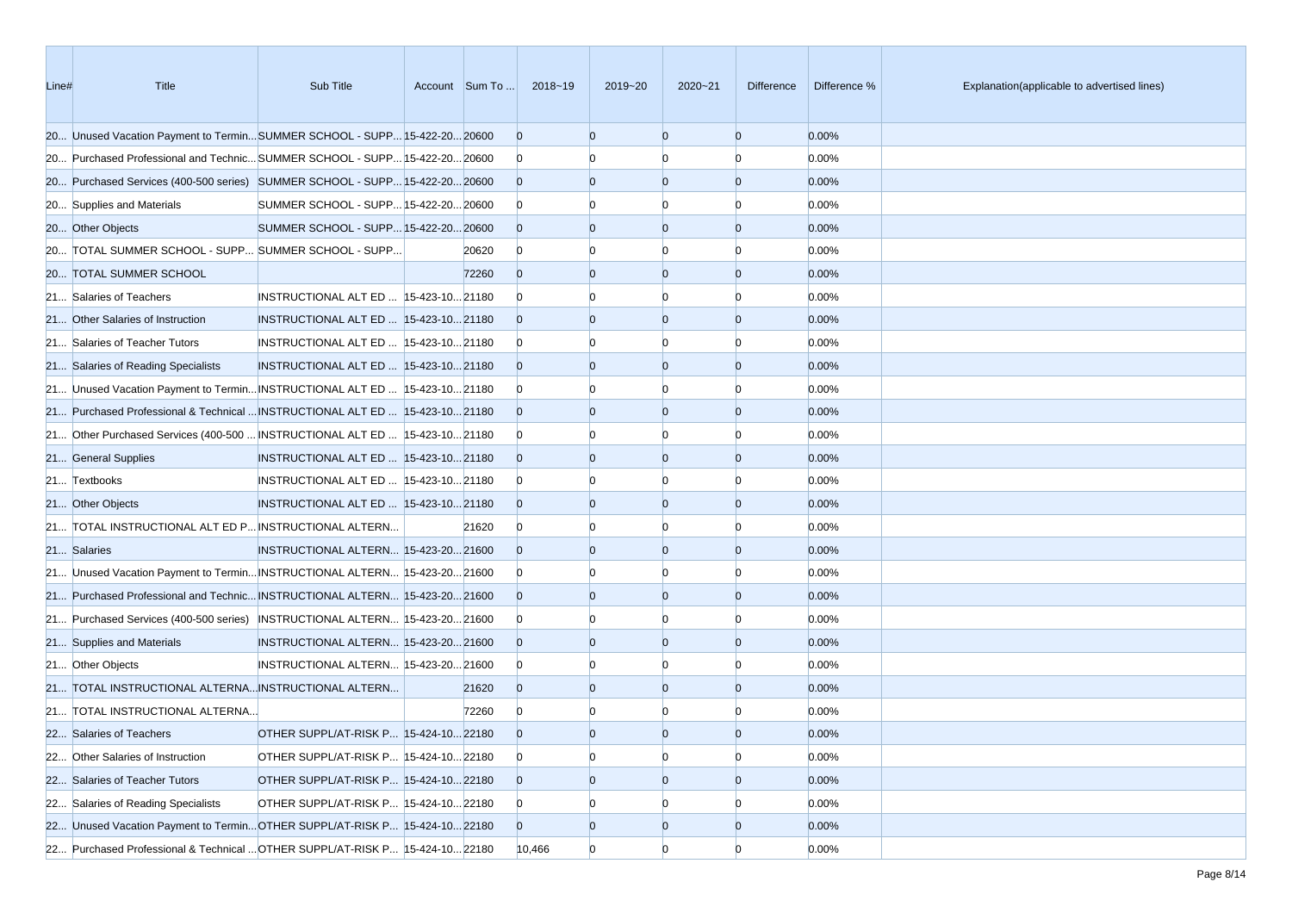| Line# | Title                                                                         | Sub Title                              | Account Sum To | 2018~19        | 2019~20        | $2020 - 21$    | <b>Difference</b> | Difference % | Explanation(applicable to advertised lines) |
|-------|-------------------------------------------------------------------------------|----------------------------------------|----------------|----------------|----------------|----------------|-------------------|--------------|---------------------------------------------|
|       | 20 Unused Vacation Payment to TerminSUMMER SCHOOL - SUPP 15-422-20 20600      |                                        |                | $\overline{0}$ | $\overline{0}$ | $\overline{0}$ | $\overline{0}$    | 0.00%        |                                             |
|       | 20 Purchased Professional and Technic SUMMER SCHOOL - SUPP 15-422-20 20600    |                                        |                | $\overline{0}$ | n              | n              | $\Omega$          | 0.00%        |                                             |
|       | 20 Purchased Services (400-500 series) SUMMER SCHOOL - SUPP 15-422-20 20600   |                                        |                | $\Omega$       | $\overline{0}$ | $\overline{0}$ | $\overline{0}$    | 0.00%        |                                             |
|       | 20 Supplies and Materials                                                     | SUMMER SCHOOL - SUPP 15-422-20 20600   |                | $\overline{0}$ |                |                | n                 | 0.00%        |                                             |
|       | 20 Other Objects                                                              | SUMMER SCHOOL - SUPP 15-422-20 20600   |                | $\Omega$       | $\Omega$       | $\Omega$       | $\overline{0}$    | 0.00%        |                                             |
|       | 20 TOTAL SUMMER SCHOOL - SUPP SUMMER SCHOOL - SUPP                            |                                        | 20620          | $\overline{0}$ | $\Omega$       | $\Omega$       | $\Omega$          | 0.00%        |                                             |
|       | 20 TOTAL SUMMER SCHOOL                                                        |                                        | 72260          | $\Omega$       | $\overline{0}$ | $\overline{0}$ | $\overline{0}$    | 0.00%        |                                             |
|       | 21 Salaries of Teachers                                                       | INSTRUCTIONAL ALT ED   15-423-10 21180 |                | $\Omega$       |                | n              | n                 | 0.00%        |                                             |
|       | 21 Other Salaries of Instruction                                              | INSTRUCTIONAL ALT ED  15-423-10 21180  |                | $\Omega$       | $\Omega$       | $\overline{0}$ | $\overline{0}$    | 0.00%        |                                             |
|       | 21 Salaries of Teacher Tutors                                                 | INSTRUCTIONAL ALT ED  15-423-10 21180  |                | $\overline{0}$ |                | n              | $\Omega$          | 0.00%        |                                             |
|       | 21 Salaries of Reading Specialists                                            | INSTRUCTIONAL ALT ED  15-423-10 21180  |                | $\Omega$       | $\Omega$       | $\Omega$       | $\overline{0}$    | 0.00%        |                                             |
|       | 21 Unused Vacation Payment to Termin INSTRUCTIONAL ALT ED  15-423-10 21180    |                                        |                | $\overline{0}$ |                | n              | n                 | 0.00%        |                                             |
|       | 21 Purchased Professional & Technical  INSTRUCTIONAL ALT ED   15-423-10 21180 |                                        |                | $\overline{0}$ | $\Omega$       | $\Omega$       | $\overline{0}$    | 0.00%        |                                             |
|       | 21 Other Purchased Services (400-500  INSTRUCTIONAL ALT ED   15-423-10 21180  |                                        |                | $\overline{0}$ | n              | n              | $\Omega$          | 0.00%        |                                             |
|       | 21 General Supplies                                                           | INSTRUCTIONAL ALT ED  15-423-10 21180  |                | $\Omega$       | $\overline{0}$ | $\Omega$       | $\overline{0}$    | 0.00%        |                                             |
|       | 21 Textbooks                                                                  | INSTRUCTIONAL ALT ED  15-423-10 21180  |                | $\overline{0}$ |                |                | n                 | 0.00%        |                                             |
|       | 21 Other Objects                                                              | INSTRUCTIONAL ALT ED  15-423-10 21180  |                | $\Omega$       | $\Omega$       | $\Omega$       | $\overline{0}$    | 0.00%        |                                             |
|       | 21 TOTAL INSTRUCTIONAL ALT ED P INSTRUCTIONAL ALTERN                          |                                        | 21620          | $\bf{0}$       | $\Omega$       | n              | $\Omega$          | 0.00%        |                                             |
|       | 21 Salaries                                                                   | INSTRUCTIONAL ALTERN 15-423-20 21600   |                | $\Omega$       | $\overline{0}$ | $\overline{0}$ | $\overline{0}$    | 0.00%        |                                             |
|       | 21 Unused Vacation Payment to Termin INSTRUCTIONAL ALTERN 15-423-20 21600     |                                        |                | $\overline{0}$ | n              | n              | 0                 | 0.00%        |                                             |
|       | 21 Purchased Professional and Technic INSTRUCTIONAL ALTERN 15-423-20 21600    |                                        |                | $\Omega$       | $\Omega$       | $\overline{0}$ | $\overline{0}$    | 0.00%        |                                             |
|       | 21 Purchased Services (400-500 series) INSTRUCTIONAL ALTERN 15-423-20 21600   |                                        |                | $\overline{0}$ |                | n              | n                 | 0.00%        |                                             |
|       | 21 Supplies and Materials                                                     | INSTRUCTIONAL ALTERN 15-423-20 21600   |                | $\Omega$       | $\overline{0}$ | $\Omega$       | $\overline{0}$    | 0.00%        |                                             |
|       | 21 Other Objects                                                              | INSTRUCTIONAL ALTERN 15-423-20 21600   |                | $\overline{0}$ | $\Omega$       | n              | n                 | 0.00%        |                                             |
|       | 21 TOTAL INSTRUCTIONAL ALTERNA INSTRUCTIONAL ALTERN                           |                                        | 21620          | $\Omega$       | $\overline{0}$ | $\overline{0}$ | $\mathbf{0}$      | 0.00%        |                                             |
|       | 21 TOTAL INSTRUCTIONAL ALTERNA                                                |                                        | 72260          | $\overline{0}$ |                |                | n                 | 0.00%        |                                             |
|       | 22 Salaries of Teachers                                                       | OTHER SUPPL/AT-RISK P 15-424-10 22180  |                | $\Omega$       | $\overline{0}$ | $\Omega$       | $\Omega$          | 0.00%        |                                             |
|       | 22 Other Salaries of Instruction                                              | OTHER SUPPL/AT-RISK P 15-424-10 22180  |                | $\overline{0}$ | $\overline{0}$ | $\overline{0}$ | $\overline{0}$    | 0.00%        |                                             |
|       | 22 Salaries of Teacher Tutors                                                 | OTHER SUPPL/AT-RISK P 15-424-10 22180  |                | $\overline{0}$ | $\overline{0}$ | $\overline{0}$ | $\overline{0}$    | 0.00%        |                                             |
|       | 22 Salaries of Reading Specialists                                            | OTHER SUPPL/AT-RISK P 15-424-10 22180  |                | $\overline{0}$ | $\overline{0}$ | $\Omega$       | O                 | 0.00%        |                                             |
|       | 22 Unused Vacation Payment to TerminOTHER SUPPL/AT-RISK P 15-424-1022180      |                                        |                | $\overline{0}$ | $\overline{0}$ | $\overline{0}$ | $\overline{0}$    | 0.00%        |                                             |
|       | 22 Purchased Professional & Technical  OTHER SUPPL/AT-RISK P 15-424-10 22180  |                                        |                | 10,466         | $\overline{0}$ | $\overline{0}$ | $\overline{0}$    | 0.00%        |                                             |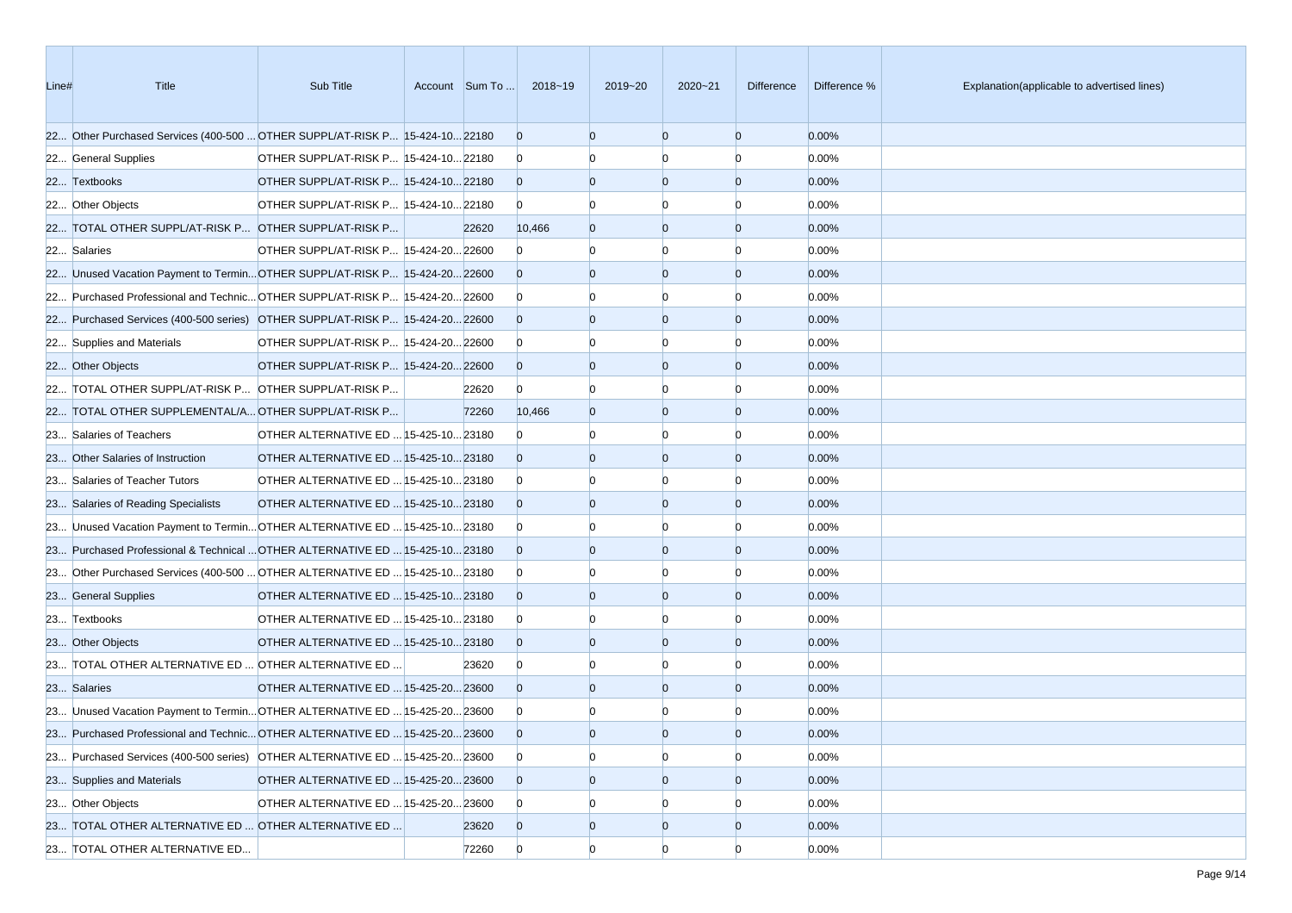| Line# | <b>Title</b>                                                                 | Sub Title                             | Account Sum To | 2018~19        | 2019~20        | $2020 - 21$    | Difference     | Difference % | Explanation(applicable to advertised lines) |
|-------|------------------------------------------------------------------------------|---------------------------------------|----------------|----------------|----------------|----------------|----------------|--------------|---------------------------------------------|
|       | 22 Other Purchased Services (400-500  OTHER SUPPL/AT-RISK P 15-424-10 22180  |                                       |                | $\overline{0}$ | $\Omega$       | $\overline{0}$ | $\overline{0}$ | 0.00%        |                                             |
|       | 22 General Supplies                                                          | OTHER SUPPL/AT-RISK P 15-424-10 22180 |                | $\overline{0}$ |                | $\Omega$       | $\Omega$       | 0.00%        |                                             |
|       | 22 Textbooks                                                                 | OTHER SUPPL/AT-RISK P 15-424-10 22180 |                | $\overline{0}$ | $\Omega$       | $\overline{0}$ | $\overline{0}$ | 0.00%        |                                             |
|       | 22 Other Objects                                                             | OTHER SUPPL/AT-RISK P 15-424-10 22180 |                | $\overline{0}$ |                |                | n              | 0.00%        |                                             |
|       | 22 TOTAL OTHER SUPPL/AT-RISK P OTHER SUPPL/AT-RISK P                         |                                       | 22620          | 10,466         | $\Omega$       | $\overline{0}$ | $\overline{0}$ | 0.00%        |                                             |
|       | 22 Salaries                                                                  | OTHER SUPPL/AT-RISK P 15-424-20 22600 |                | $\overline{0}$ |                | $\Omega$       | n              | 0.00%        |                                             |
|       | 22 Unused Vacation Payment to TerminOTHER SUPPL/AT-RISK P 15-424-2022600     |                                       |                | $\overline{0}$ | $\Omega$       | $\overline{0}$ | $\overline{0}$ | 0.00%        |                                             |
|       | 22 Purchased Professional and Technic OTHER SUPPL/AT-RISK P 15-424-20 22600  |                                       |                | $\overline{0}$ |                | $\Omega$       | n              | 0.00%        |                                             |
|       | 22 Purchased Services (400-500 series) OTHER SUPPL/AT-RISK P 15-424-20 22600 |                                       |                | $\overline{0}$ | $\Omega$       | $\overline{0}$ | $\overline{0}$ | 0.00%        |                                             |
|       | 22 Supplies and Materials                                                    | OTHER SUPPL/AT-RISK P 15-424-20 22600 |                | $\overline{0}$ |                | n              | n              | 0.00%        |                                             |
|       | 22 Other Objects                                                             | OTHER SUPPL/AT-RISK P 15-424-20 22600 |                | $\overline{0}$ | $\Omega$       | $\overline{0}$ | $\overline{0}$ | 0.00%        |                                             |
|       | 22 TOTAL OTHER SUPPL/AT-RISK P OTHER SUPPL/AT-RISK P                         |                                       | 22620          | $\overline{0}$ | n              | n              | n              | 0.00%        |                                             |
|       | 22 TOTAL OTHER SUPPLEMENTAL/A OTHER SUPPL/AT-RISK P                          |                                       | 72260          | 10,466         | $\Omega$       | $\overline{0}$ | $\overline{0}$ | 0.00%        |                                             |
|       | 23 Salaries of Teachers                                                      | OTHER ALTERNATIVE ED  15-425-10 23180 |                | $\Omega$       |                | $\Omega$       | n              | 0.00%        |                                             |
|       | 23 Other Salaries of Instruction                                             | OTHER ALTERNATIVE ED  15-425-10 23180 |                | $\Omega$       | $\Omega$       | $\overline{0}$ | $\overline{0}$ | 0.00%        |                                             |
|       | 23 Salaries of Teacher Tutors                                                | OTHER ALTERNATIVE ED  15-425-10 23180 |                | $\overline{0}$ |                |                | n              | 0.00%        |                                             |
|       | 23 Salaries of Reading Specialists                                           | OTHER ALTERNATIVE ED  15-425-10 23180 |                | $\overline{0}$ | $\Omega$       | $\overline{0}$ | $\overline{0}$ | 0.00%        |                                             |
|       | 23 Unused Vacation Payment to Termin OTHER ALTERNATIVE ED  15-425-10 23180   |                                       |                | $\overline{0}$ |                | $\Omega$       | n              | 0.00%        |                                             |
|       | 23 Purchased Professional & Technical  OTHER ALTERNATIVE ED  15-425-10 23180 |                                       |                | $\overline{0}$ | $\Omega$       | $\overline{0}$ | $\overline{0}$ | 0.00%        |                                             |
|       | 23 Other Purchased Services (400-500  OTHER ALTERNATIVE ED  15-425-10 23180  |                                       |                | $\overline{0}$ |                | $\Omega$       | n              | 0.00%        |                                             |
|       | 23 General Supplies                                                          | OTHER ALTERNATIVE ED  15-425-10 23180 |                | $\overline{0}$ | $\Omega$       | $\overline{0}$ | $\overline{0}$ | 0.00%        |                                             |
|       | 23 Textbooks                                                                 | OTHER ALTERNATIVE ED  15-425-10 23180 |                | $\overline{0}$ |                | n              | n              | 0.00%        |                                             |
|       | 23 Other Objects                                                             | OTHER ALTERNATIVE ED  15-425-10 23180 |                | $\overline{0}$ | $\Omega$       | $\Omega$       | $\overline{0}$ | 0.00%        |                                             |
|       | 23 TOTAL OTHER ALTERNATIVE ED  OTHER ALTERNATIVE ED                          |                                       | 23620          | $\overline{0}$ |                | $\Omega$       | n              | 0.00%        |                                             |
|       | 23 Salaries                                                                  | OTHER ALTERNATIVE ED  15-425-20 23600 |                | $\overline{0}$ | $\Omega$       | $\overline{0}$ | $\overline{0}$ | 0.00%        |                                             |
|       | 23 Unused Vacation Payment to Termin OTHER ALTERNATIVE ED  15-425-20 23600   |                                       |                | $\mathbf{0}$   |                |                |                | 0.00%        |                                             |
|       | 23 Purchased Professional and Technic OTHER ALTERNATIVE ED  15-425-20 23600  |                                       |                | $\Omega$       |                | $\Omega$       | $\Omega$       | 0.00%        |                                             |
|       | 23 Purchased Services (400-500 series) OTHER ALTERNATIVE ED  15-425-20 23600 |                                       |                | $\overline{0}$ | $\Omega$       | $\overline{0}$ | $\Omega$       | 0.00%        |                                             |
|       | 23 Supplies and Materials                                                    | OTHER ALTERNATIVE ED  15-425-20 23600 |                | $\overline{0}$ | $\overline{0}$ | $\overline{0}$ | $\overline{0}$ | 0.00%        |                                             |
|       | 23 Other Objects                                                             | OTHER ALTERNATIVE ED  15-425-20 23600 |                | $\overline{0}$ | $\Omega$       | $\Omega$       |                | 0.00%        |                                             |
|       | 23 TOTAL OTHER ALTERNATIVE ED  OTHER ALTERNATIVE ED                          |                                       | 23620          | $\overline{0}$ | $\overline{0}$ | $\overline{0}$ | $\overline{0}$ | 0.00%        |                                             |
|       | 23 TOTAL OTHER ALTERNATIVE ED                                                |                                       | 72260          | $\overline{0}$ | $\overline{0}$ | $\overline{0}$ | $\Omega$       | 0.00%        |                                             |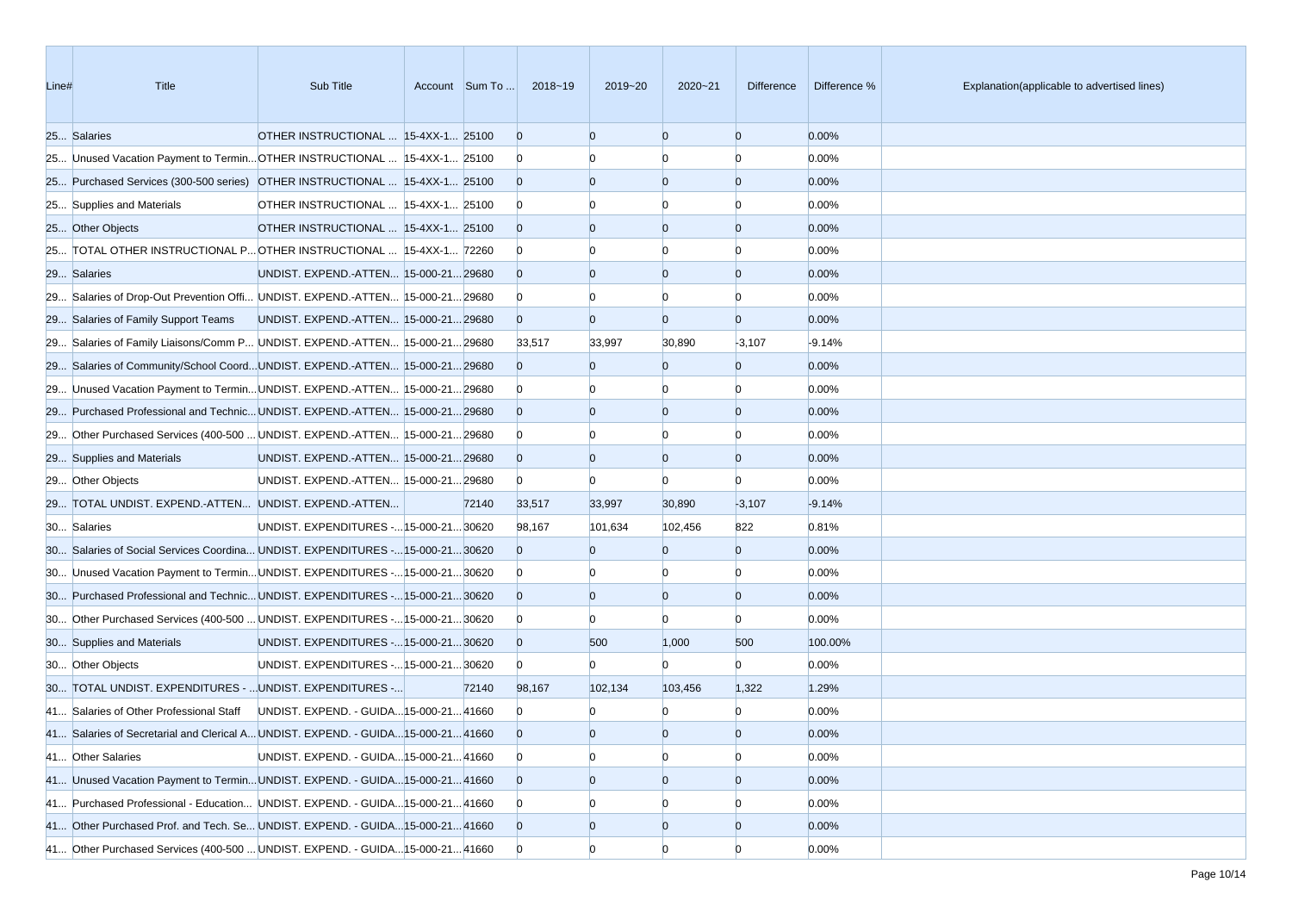| Line# | Title                                                                             | Sub Title                               | Account Sum To | 2018~19        | 2019~20        | 2020~21        | Difference     | Difference % | Explanation(applicable to advertised lines) |
|-------|-----------------------------------------------------------------------------------|-----------------------------------------|----------------|----------------|----------------|----------------|----------------|--------------|---------------------------------------------|
|       | 25 Salaries                                                                       | OTHER INSTRUCTIONAL  15-4XX-1 25100     |                | $\overline{0}$ | $\Omega$       | $\overline{0}$ | $\overline{0}$ | 0.00%        |                                             |
|       | 25 Unused Vacation Payment to Termin OTHER INSTRUCTIONAL  15-4XX-1 25100          |                                         |                | $\mathbf{0}$   |                | n              | n              | 0.00%        |                                             |
|       | 25 Purchased Services (300-500 series) OTHER INSTRUCTIONAL  15-4XX-1 25100        |                                         |                | $\overline{0}$ | $\Omega$       | $\overline{0}$ | $\overline{0}$ | 0.00%        |                                             |
|       | 25 Supplies and Materials                                                         | OTHER INSTRUCTIONAL  15-4XX-1 25100     |                | $\bf{0}$       |                | n              | n              | 0.00%        |                                             |
|       | 25 Other Objects                                                                  | OTHER INSTRUCTIONAL  15-4XX-1 25100     |                | $\overline{0}$ |                | $\overline{0}$ | $\overline{0}$ | 0.00%        |                                             |
|       | 25 TOTAL OTHER INSTRUCTIONAL P OTHER INSTRUCTIONAL  15-4XX-1 72260                |                                         |                | $\bf{0}$       |                | n              | n              | 0.00%        |                                             |
|       | 29 Salaries                                                                       | UNDIST. EXPEND.-ATTEN 15-000-21 29680   |                | $\overline{0}$ | $\Omega$       | $\overline{0}$ | $\overline{0}$ | 0.00%        |                                             |
|       | 29 Salaries of Drop-Out Prevention Offi UNDIST. EXPEND.-ATTEN 15-000-21 29680     |                                         |                | $\bf{0}$       |                |                |                | 0.00%        |                                             |
|       | 29 Salaries of Family Support Teams                                               | UNDIST. EXPEND.-ATTEN 15-000-21 29680   |                | $\Omega$       | $\Omega$       | $\overline{0}$ | $\overline{0}$ | 0.00%        |                                             |
|       | 29 Salaries of Family Liaisons/Comm P UNDIST. EXPEND.-ATTEN 15-000-21 29680       |                                         |                | 33,517         | 33,997         | 30,890         | $-3,107$       | $-9.14%$     |                                             |
|       | 29 Salaries of Community/School CoordUNDIST. EXPEND.-ATTEN 15-000-2129680         |                                         |                | $\overline{0}$ | $\overline{0}$ | $\overline{0}$ | $\overline{0}$ | 0.00%        |                                             |
|       | 29 Unused Vacation Payment to Termin UNDIST. EXPEND.-ATTEN 15-000-21 29680        |                                         |                | $\bf{0}$       |                |                | n              | 0.00%        |                                             |
|       | 29 Purchased Professional and Technic UNDIST. EXPEND.-ATTEN 15-000-21 29680       |                                         |                | $\Omega$       |                | $\overline{0}$ | $\overline{0}$ | 0.00%        |                                             |
|       | 29 Other Purchased Services (400-500  UNDIST. EXPEND.-ATTEN  15-000-21 29680      |                                         |                | $\overline{0}$ |                |                | n              | 0.00%        |                                             |
|       | 29 Supplies and Materials                                                         | UNDIST. EXPEND.-ATTEN 15-000-21 29680   |                | $\overline{0}$ | $\overline{0}$ | $\overline{0}$ | $\overline{0}$ | 0.00%        |                                             |
|       | 29 Other Objects                                                                  | UNDIST. EXPEND.-ATTEN 15-000-21 29680   |                | $\bf{0}$       | $\Omega$       | $\Omega$       | $\Omega$       | 0.00%        |                                             |
|       | 29 TOTAL UNDIST. EXPEND.-ATTEN UNDIST. EXPEND.-ATTEN                              |                                         | 72140          | 33,517         | 33,997         | 30,890         | $-3,107$       | $-9.14%$     |                                             |
|       | 30 Salaries                                                                       | UNDIST. EXPENDITURES - 15-000-21 30620  |                | 98,167         | 101,634        | 102,456        | 822            | 0.81%        |                                             |
|       | 30 Salaries of Social Services Coordina UNDIST. EXPENDITURES - 15-000-21 30620    |                                         |                | $\Omega$       | $\Omega$       | $\overline{0}$ | $\overline{0}$ | 0.00%        |                                             |
|       | 30 Unused Vacation Payment to TerminUNDIST. EXPENDITURES - 15-000-21 30620        |                                         |                | $\bf{0}$       |                |                | n              | 0.00%        |                                             |
|       | 30 Purchased Professional and Technic UNDIST. EXPENDITURES - 15-000-21 30620      |                                         |                | $\Omega$       | $\Omega$       | $\overline{0}$ | $\overline{0}$ | 0.00%        |                                             |
|       | 30 Other Purchased Services (400-500  UNDIST. EXPENDITURES - 15-000-21 30620      |                                         |                | $\bf{0}$       |                | $\Omega$       | $\Omega$       | 0.00%        |                                             |
|       | 30 Supplies and Materials                                                         | UNDIST. EXPENDITURES - 15-000-21 30620  |                | $\overline{0}$ | 500            | 1,000          | 500            | 100.00%      |                                             |
|       | 30 Other Objects                                                                  | UNDIST. EXPENDITURES - 15-000-21 30620  |                | $\mathbf{0}$   | $\overline{0}$ | $\Omega$       | $\Omega$       | 0.00%        |                                             |
|       | 30 TOTAL UNDIST. EXPENDITURES -  UNDIST. EXPENDITURES -                           |                                         | 72140          | 98,167         | 102,134        | 103,456        | 1,322          | 1.29%        |                                             |
|       | 41 Salaries of Other Professional Staff                                           | UNDIST. EXPEND. - GUIDA 15-000-21 41660 |                | $\mathbf{0}$   |                |                |                | 0.00%        |                                             |
|       | 41 Salaries of Secretarial and Clerical A UNDIST. EXPEND. - GUIDA 15-000-21 41660 |                                         |                | $\overline{0}$ | $\Omega$       | $\Omega$       | $\Omega$       | 0.00%        |                                             |
|       | 41 Other Salaries                                                                 | UNDIST. EXPEND. - GUIDA 15-000-21 41660 |                | $\overline{0}$ | $\Omega$       | $\overline{0}$ | $\overline{0}$ | 0.00%        |                                             |
|       | 41 Unused Vacation Payment to Termin UNDIST. EXPEND. - GUIDA 15-000-21 41660      |                                         |                | $\overline{0}$ | $\overline{0}$ | $\overline{0}$ | $\overline{0}$ | 0.00%        |                                             |
|       | 41 Purchased Professional - Education UNDIST. EXPEND. - GUIDA 15-000-21 41660     |                                         |                | $\mathbf{0}$   |                |                |                | 0.00%        |                                             |
|       | 41 Other Purchased Prof. and Tech. Se UNDIST. EXPEND. - GUIDA 15-000-21 41660     |                                         |                | $\overline{0}$ | $\overline{0}$ | $\overline{0}$ | $\overline{0}$ | 0.00%        |                                             |
|       | 41 Other Purchased Services (400-500  UNDIST. EXPEND. - GUIDA 15-000-21 41660     |                                         |                | $\mathbf{0}$   | $\Omega$       | $\Omega$       | n              | 0.00%        |                                             |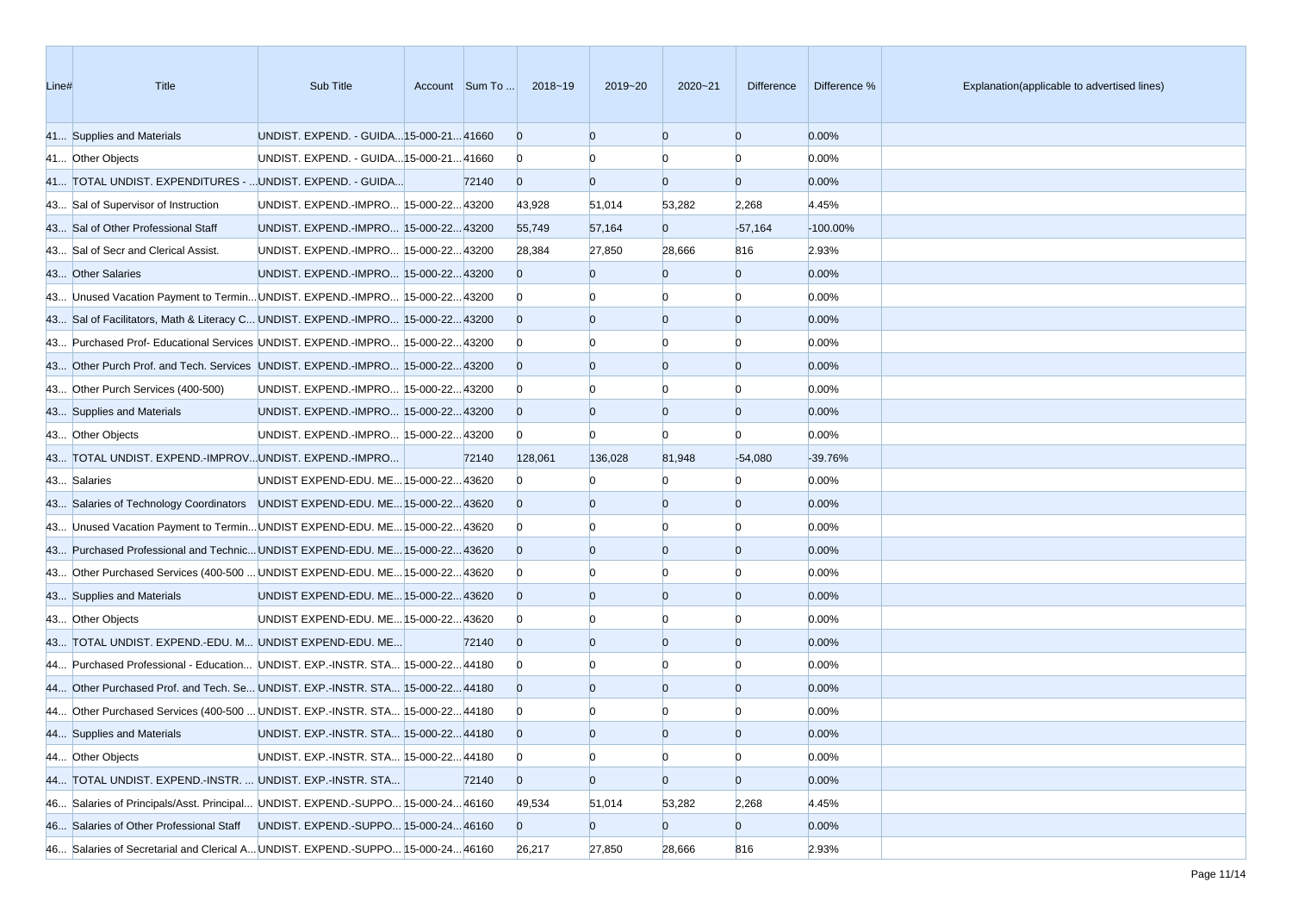| Line# | <b>Title</b>                                                                    | Sub Title                               | Account Sum To | 2018~19        | 2019~20        | $2020 - 21$    | <b>Difference</b> | Difference % | Explanation(applicable to advertised lines) |
|-------|---------------------------------------------------------------------------------|-----------------------------------------|----------------|----------------|----------------|----------------|-------------------|--------------|---------------------------------------------|
|       | 41 Supplies and Materials                                                       | UNDIST. EXPEND. - GUIDA 15-000-21 41660 |                | $\overline{0}$ | $\Omega$       | $\Omega$       | $\overline{0}$    | 0.00%        |                                             |
|       | 41 Other Objects                                                                | UNDIST. EXPEND. - GUIDA 15-000-21 41660 |                | $\bf{0}$       |                | $\Omega$       | $\Omega$          | 0.00%        |                                             |
|       | 41 TOTAL UNDIST. EXPENDITURES -  UNDIST. EXPEND. - GUIDA                        |                                         | 72140          | $\overline{0}$ | $\Omega$       | $\overline{0}$ | $\overline{0}$    | 0.00%        |                                             |
|       | 43 Sal of Supervisor of Instruction                                             | UNDIST. EXPEND.-IMPRO 15-000-22 43200   |                | 43,928         | 51,014         | 53,282         | 2,268             | 4.45%        |                                             |
|       | 43 Sal of Other Professional Staff                                              | UNDIST. EXPEND.-IMPRO 15-000-2243200    |                | 55,749         | 57,164         | $\overline{0}$ | $-57,164$         | $-100.00\%$  |                                             |
|       | 43 Sal of Secr and Clerical Assist.                                             | UNDIST. EXPEND.-IMPRO 15-000-2243200    |                | 28,384         | 27,850         | 28,666         | 816               | 2.93%        |                                             |
|       | 43 Other Salaries                                                               | UNDIST. EXPEND.-IMPRO 15-000-22 43200   |                | $\overline{0}$ | $\overline{0}$ | $\overline{0}$ | $\overline{0}$    | 0.00%        |                                             |
|       | 43 Unused Vacation Payment to Termin UNDIST. EXPEND.-IMPRO 15-000-22 43200      |                                         |                | $\mathbf{0}$   |                |                | $\Omega$          | 0.00%        |                                             |
|       | 43 Sal of Facilitators, Math & Literacy C UNDIST. EXPEND.-IMPRO 15-000-22 43200 |                                         |                | $\overline{0}$ | $\Omega$       | $\Omega$       | $\overline{0}$    | 0.00%        |                                             |
|       | 43 Purchased Prof- Educational Services UNDIST. EXPEND.-IMPRO 15-000-22 43200   |                                         |                | $\overline{0}$ |                |                | $\Omega$          | 0.00%        |                                             |
|       | 43 Other Purch Prof. and Tech. Services UNDIST. EXPEND.-IMPRO 15-000-22 43200   |                                         |                | $\overline{0}$ | $\Omega$       | $\overline{0}$ | $\overline{0}$    | 0.00%        |                                             |
|       | 43 Other Purch Services (400-500)                                               | UNDIST. EXPEND.-IMPRO 15-000-2243200    |                | $\overline{0}$ |                |                | $\Omega$          | 0.00%        |                                             |
|       | 43 Supplies and Materials                                                       | UNDIST. EXPEND.-IMPRO 15-000-22 43200   |                | $\overline{0}$ | $\Omega$       | $\overline{0}$ | $\overline{0}$    | 0.00%        |                                             |
|       | 43 Other Objects                                                                | UNDIST. EXPEND.-IMPRO 15-000-22 43200   |                | $\overline{0}$ | $\Omega$       | $\Omega$       | $\Omega$          | 0.00%        |                                             |
|       | 43 TOTAL UNDIST. EXPEND.-IMPROVUNDIST. EXPEND.-IMPRO                            |                                         | 72140          | 128,061        | 136,028        | 81,948         | $-54,080$         | $-39.76%$    |                                             |
|       | 43 Salaries                                                                     | UNDIST EXPEND-EDU. ME 15-000-22 43620   |                | $\overline{0}$ |                |                | $\Omega$          | 0.00%        |                                             |
|       | 43 Salaries of Technology Coordinators UNDIST EXPEND-EDU. ME 15-000-22 43620    |                                         |                | $\Omega$       |                | $\Omega$       | $\overline{0}$    | 0.00%        |                                             |
|       | 43 Unused Vacation Payment to Termin UNDIST EXPEND-EDU. ME 15-000-22 43620      |                                         |                | $\overline{0}$ |                | n              | $\Omega$          | 0.00%        |                                             |
|       | 43 Purchased Professional and Technic UNDIST EXPEND-EDU. ME 15-000-22 43620     |                                         |                | $\overline{0}$ | $\Omega$       | $\Omega$       | $\overline{0}$    | 0.00%        |                                             |
|       | 43 Other Purchased Services (400-500  UNDIST EXPEND-EDU. ME 15-000-22 43620     |                                         |                | $\overline{0}$ |                |                | $\Omega$          | 0.00%        |                                             |
|       | 43 Supplies and Materials                                                       | UNDIST EXPEND-EDU. ME 15-000-22 43620   |                | $\overline{0}$ | $\Omega$       | $\Omega$       | $\overline{0}$    | 0.00%        |                                             |
|       | 43 Other Objects                                                                | UNDIST EXPEND-EDU. ME 15-000-22 43620   |                | $\overline{0}$ |                |                | n                 | 0.00%        |                                             |
|       | 43 TOTAL UNDIST. EXPEND.-EDU. M UNDIST EXPEND-EDU. ME                           |                                         | 72140          | $\overline{0}$ | $\Omega$       | $\Omega$       | $\overline{0}$    | 0.00%        |                                             |
|       | 44 Purchased Professional - Education UNDIST. EXP.-INSTR. STA 15-000-22 44180   |                                         |                | $\overline{0}$ |                | n              | $\Omega$          | 0.00%        |                                             |
|       | 44 Other Purchased Prof. and Tech. Se UNDIST. EXP.-INSTR. STA 15-000-22 44180   |                                         |                | $\overline{0}$ | $\Omega$       | $\overline{0}$ | $\overline{0}$    | 0.00%        |                                             |
|       | 44 Other Purchased Services (400-500  UNDIST. EXP.-INSTR. STA 15-000-22 44180   |                                         |                | $\mathbf{0}$   |                |                |                   | 0.00%        |                                             |
|       | 44 Supplies and Materials                                                       | UNDIST. EXP.-INSTR. STA 15-000-22 44180 |                | $\overline{0}$ | $\Omega$       | $\Omega$       | $\Omega$          | 0.00%        |                                             |
|       | 44 Other Objects                                                                | UNDIST. EXP.-INSTR. STA 15-000-2244180  |                | $\mathbf{0}$   | $\overline{0}$ | $\overline{0}$ | $\overline{0}$    | 0.00%        |                                             |
|       | 44 TOTAL UNDIST. EXPEND.-INSTR.  UNDIST. EXP.-INSTR. STA                        |                                         | 72140          | $\overline{0}$ | $\overline{0}$ | $\overline{0}$ | $\overline{0}$    | 0.00%        |                                             |
|       | 46 Salaries of Principals/Asst. Principal UNDIST. EXPEND.-SUPPO 15-000-2446160  |                                         |                | 49,534         | 51,014         | 53,282         | 2,268             | 4.45%        |                                             |
|       | 46 Salaries of Other Professional Staff                                         | UNDIST. EXPEND.-SUPPO 15-000-24 46160   |                | $\overline{0}$ | $\overline{0}$ | $\overline{0}$ | $\overline{0}$    | 0.00%        |                                             |
|       | 46 Salaries of Secretarial and Clerical A UNDIST. EXPEND.-SUPPO 15-000-2446160  |                                         |                | 26,217         | 27,850         | 28,666         | 816               | 2.93%        |                                             |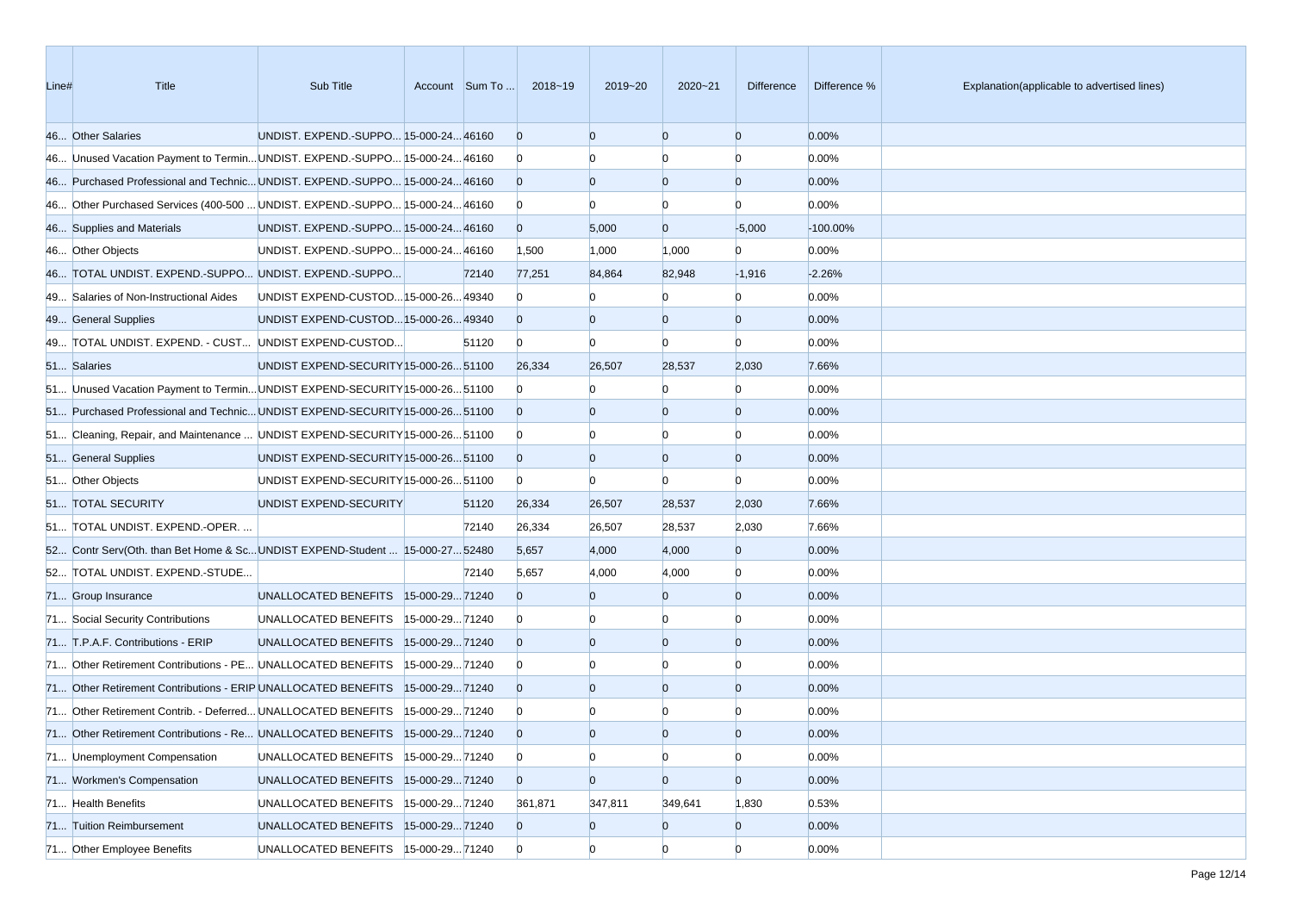| Line# | <b>Title</b>                                                                  | Sub Title                              |                |       | Account Sum To  2018~19 | 2019~20        | $2020 - 21$    | Difference     | Difference % | Explanation(applicable to advertised lines) |
|-------|-------------------------------------------------------------------------------|----------------------------------------|----------------|-------|-------------------------|----------------|----------------|----------------|--------------|---------------------------------------------|
|       | 46 Other Salaries                                                             | UNDIST. EXPEND.-SUPPO 15-000-24 46160  |                |       | $\overline{0}$          | $\Omega$       | $\Omega$       | $\overline{0}$ | 0.00%        |                                             |
|       | 46 Unused Vacation Payment to Termin UNDIST. EXPEND.-SUPPO 15-000-24 46160    |                                        |                |       | $\mathbf{0}$            |                | $\Omega$       | $\Omega$       | 0.00%        |                                             |
|       | 46 Purchased Professional and Technic UNDIST. EXPEND.-SUPPO 15-000-24 46160   |                                        |                |       | $\overline{0}$          | $\Omega$       | $\overline{0}$ | $\overline{0}$ | 0.00%        |                                             |
|       | 46 Other Purchased Services (400-500  UNDIST. EXPEND.-SUPPO 15-000-24 46160   |                                        |                |       | $\bf{0}$                |                | $\Omega$       | n              | 0.00%        |                                             |
|       | 46 Supplies and Materials                                                     | UNDIST. EXPEND.-SUPPO 15-000-24 46160  |                |       | $\overline{0}$          | 5,000          | $\overline{0}$ | $-5,000$       | $-100.00\%$  |                                             |
|       | 46 Other Objects                                                              | UNDIST. EXPEND.-SUPPO 15-000-24 46160  |                |       | 1,500                   | 1,000          | 1,000          | $\Omega$       | 0.00%        |                                             |
|       | 46 TOTAL UNDIST. EXPEND.-SUPPO UNDIST. EXPEND.-SUPPO                          |                                        |                | 72140 | 77,251                  | 84,864         | 82,948         | $-1,916$       | $-2.26%$     |                                             |
|       | 49 Salaries of Non-Instructional Aides                                        | UNDIST EXPEND-CUSTOD 15-000-26 49340   |                |       | $\mathbf{0}$            |                | $\Omega$       | $\Omega$       | 0.00%        |                                             |
|       | 49 General Supplies                                                           | UNDIST EXPEND-CUSTOD15-000-2649340     |                |       | $\overline{0}$          | $\Omega$       | $\overline{0}$ | $\overline{0}$ | 0.00%        |                                             |
|       | 49 TOTAL UNDIST. EXPEND. - CUST UNDIST EXPEND-CUSTOD                          |                                        |                | 51120 | $\overline{0}$          | $\Omega$       | $\Omega$       | $\Omega$       | 0.00%        |                                             |
|       | 51 Salaries                                                                   | UNDIST EXPEND-SECURITY 15-000-26 51100 |                |       | 26,334                  | 26,507         | 28,537         | 2,030          | 7.66%        |                                             |
|       | 51 Unused Vacation Payment to Termin UNDIST EXPEND-SECURITY 15-000-26 51100   |                                        |                |       | $\overline{0}$          |                | n              | $\Omega$       | 0.00%        |                                             |
|       | 51 Purchased Professional and Technic UNDIST EXPEND-SECURITY 15-000-26 51100  |                                        |                |       | $\overline{0}$          |                | $\overline{0}$ | $\overline{0}$ | 0.00%        |                                             |
|       | 51 Cleaning, Repair, and Maintenance  UNDIST EXPEND-SECURITY [15-000-26 51100 |                                        |                |       | $\overline{0}$          |                | $\Omega$       | $\Omega$       | 0.00%        |                                             |
|       | 51 General Supplies                                                           | UNDIST EXPEND-SECURITY 15-000-26 51100 |                |       | $\overline{0}$          | $\Omega$       | $\overline{0}$ | $\overline{0}$ | 0.00%        |                                             |
|       | 51 Other Objects                                                              | UNDIST EXPEND-SECURITY 15-000-26 51100 |                |       | $\mathbf{0}$            | $\Omega$       | $\Omega$       | $\Omega$       | 0.00%        |                                             |
|       | 51 TOTAL SECURITY                                                             | UNDIST EXPEND-SECURITY                 |                | 51120 | 26,334                  | 26,507         | 28,537         | 2,030          | 7.66%        |                                             |
|       | 51 TOTAL UNDIST. EXPEND.-OPER.                                                |                                        |                | 72140 | 26,334                  | 26,507         | 28,537         | 2,030          | 7.66%        |                                             |
|       | 52 Contr Serv(Oth. than Bet Home & ScUNDIST EXPEND-Student  15-000-27 52480   |                                        |                |       | 5,657                   | 4,000          | 4,000          | $\overline{0}$ | 0.00%        |                                             |
|       | 52 TOTAL UNDIST. EXPEND.-STUDE                                                |                                        |                | 72140 | 5,657                   | 4,000          | 4,000          | $\overline{0}$ | 0.00%        |                                             |
|       | 71 Group Insurance                                                            | UNALLOCATED BENEFITS   15-000-29 71240 |                |       | $\Omega$                | $\Omega$       | $\Omega$       | $\overline{0}$ | 0.00%        |                                             |
|       | 71 Social Security Contributions                                              | UNALLOCATED BENEFITS                   | 15-000-2971240 |       | $\mathbf{0}$            |                |                | $\Omega$       | 0.00%        |                                             |
|       | 71 T.P.A.F. Contributions - ERIP                                              | UNALLOCATED BENEFITS 15-000-2971240    |                |       | $\overline{0}$          | $\Omega$       | $\Omega$       | $\overline{0}$ | 0.00%        |                                             |
|       | 71 Other Retirement Contributions - PE UNALLOCATED BENEFITS                   |                                        | 15-000-2971240 |       | $\overline{0}$          |                |                | $\Omega$       | 0.00%        |                                             |
|       | 71 Other Retirement Contributions - ERIP UNALLOCATED BENEFITS                 |                                        | 15-000-2971240 |       | $\overline{0}$          | $\Omega$       | $\overline{0}$ | $\overline{0}$ | 0.00%        |                                             |
|       | 71 Other Retirement Contrib. - Deferred UNALLOCATED BENEFITS                  |                                        | 15-000-2971240 |       | $\bf{0}$                |                |                |                | 0.00%        |                                             |
|       | 71 Other Retirement Contributions - Re UNALLOCATED BENEFITS  15-000-29 71240  |                                        |                |       | $\overline{0}$          | $\Omega$       | $\Omega$       | $\Omega$       | 0.00%        |                                             |
|       | 71 Unemployment Compensation                                                  | UNALLOCATED BENEFITS                   | 15-000-2971240 |       | $\overline{0}$          | $\overline{0}$ | $\overline{0}$ | $\overline{0}$ | 0.00%        |                                             |
|       | 71 Workmen's Compensation                                                     | UNALLOCATED BENEFITS                   | 15-000-2971240 |       | $\overline{0}$          | $\overline{0}$ | $\overline{0}$ | $\overline{0}$ | 0.00%        |                                             |
|       | 71 Health Benefits                                                            | UNALLOCATED BENEFITS                   | 15-000-2971240 |       | 361,871                 | 347,811        | 349,641        | 1,830          | 0.53%        |                                             |
|       | 71 Tuition Reimbursement                                                      | UNALLOCATED BENEFITS 15-000-29 71240   |                |       | $\overline{0}$          | $\overline{0}$ | $\overline{0}$ | $\overline{0}$ | 0.00%        |                                             |
|       | 71 Other Employee Benefits                                                    | UNALLOCATED BENEFITS  15-000-29 71240  |                |       | $\overline{0}$          | $\overline{0}$ | $\overline{0}$ | $\overline{0}$ | 0.00%        |                                             |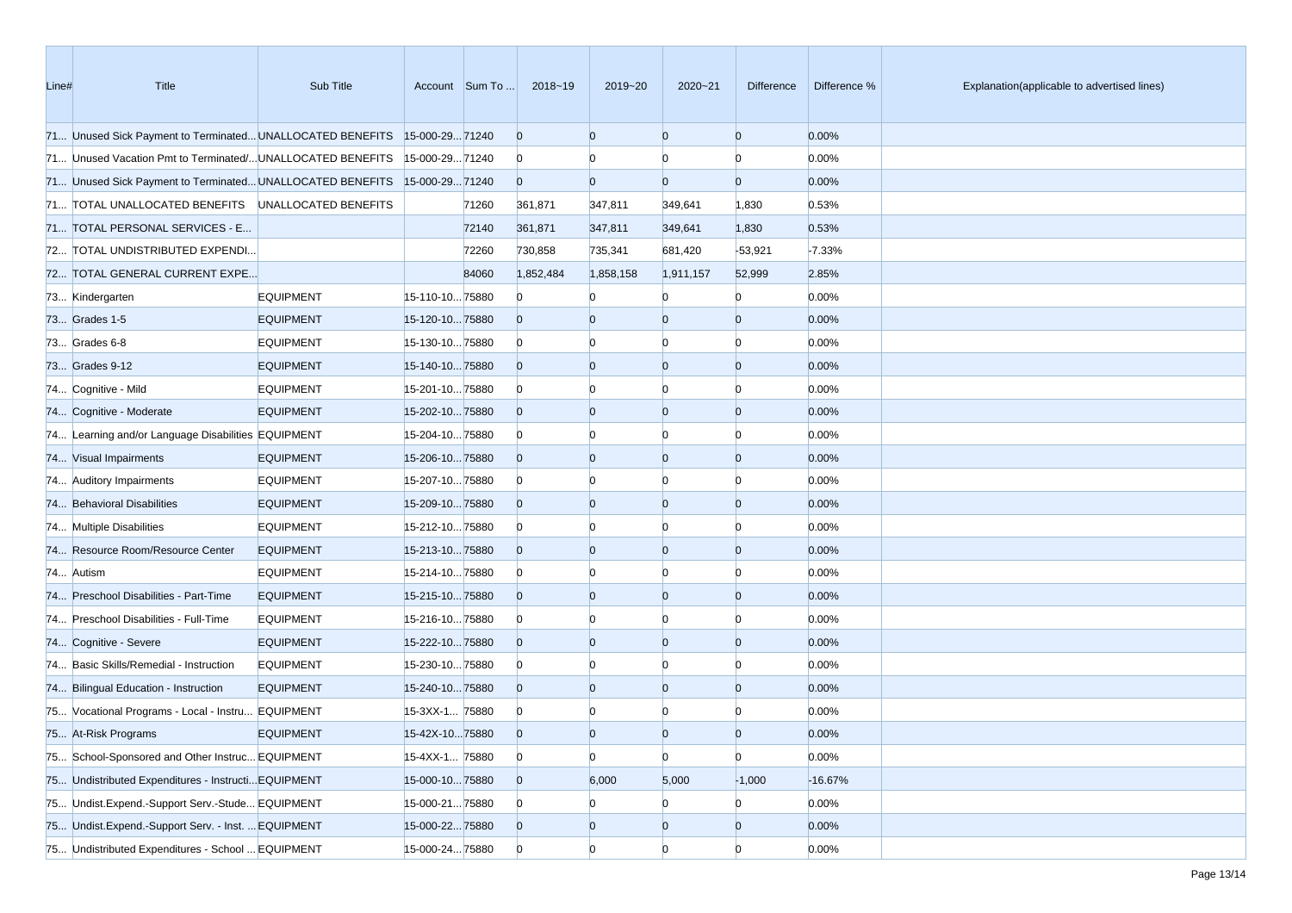| Line# | Title                                                                     | Sub Title        |                | Account Sum To | 2018~19        | 2019~20        | 2020~21        | Difference     | Difference % | Explanation(applicable to advertised lines) |
|-------|---------------------------------------------------------------------------|------------------|----------------|----------------|----------------|----------------|----------------|----------------|--------------|---------------------------------------------|
|       | 71 Unused Sick Payment to Terminated UNALLOCATED BENEFITS 15-000-29 71240 |                  |                |                | $\overline{0}$ | $\overline{0}$ | $\overline{0}$ | $\overline{0}$ | 0.00%        |                                             |
|       | 71 Unused Vacation Pmt to Terminated/ UNALLOCATED BENEFITS                |                  | 15-000-2971240 |                | $\bf{0}$       |                | $\Omega$       | $\Omega$       | 0.00%        |                                             |
|       | 71 Unused Sick Payment to Terminated UNALLOCATED BENEFITS 15-000-29 71240 |                  |                |                | $\overline{0}$ | $\overline{0}$ | $\overline{0}$ | $\overline{0}$ | 0.00%        |                                             |
|       | 71 TOTAL UNALLOCATED BENEFITS UNALLOCATED BENEFITS                        |                  |                | 71260          | 361,871        | 347,811        | 349,641        | 1,830          | 0.53%        |                                             |
|       | 71 TOTAL PERSONAL SERVICES - E                                            |                  |                | 72140          | 361,871        | 347,811        | 349,641        | 1,830          | 0.53%        |                                             |
|       | 72 TOTAL UNDISTRIBUTED EXPENDI                                            |                  |                | 72260          | 730,858        | 735,341        | 681,420        | $-53,921$      | $-7.33%$     |                                             |
|       | 72 TOTAL GENERAL CURRENT EXPE                                             |                  |                | 84060          | 1,852,484      | 1,858,158      | 1,911,157      | 52,999         | 2.85%        |                                             |
|       | 73 Kindergarten                                                           | <b>EQUIPMENT</b> | 15-110-1075880 |                | $\Omega$       |                | $\Omega$       | $\Omega$       | 0.00%        |                                             |
|       | 73 Grades 1-5                                                             | <b>EQUIPMENT</b> | 15-120-1075880 |                | $\overline{0}$ | 0              | $\bf{0}$       | $\Omega$       | 0.00%        |                                             |
|       | 73 Grades 6-8                                                             | <b>EQUIPMENT</b> | 15-130-1075880 |                | $\bf{0}$       |                | 0              | n              | 0.00%        |                                             |
|       | 73 Grades 9-12                                                            | <b>EQUIPMENT</b> | 15-140-1075880 |                | $\overline{0}$ | $\Omega$       | $\overline{0}$ | $\Omega$       | 0.00%        |                                             |
|       | 74 Cognitive - Mild                                                       | <b>EQUIPMENT</b> | 15-201-1075880 |                | $\bf{0}$       |                | $\Omega$       | n              | 0.00%        |                                             |
|       | 74 Cognitive - Moderate                                                   | <b>EQUIPMENT</b> | 15-202-1075880 |                | $\overline{0}$ | $\Omega$       | $\overline{0}$ | $\overline{0}$ | 0.00%        |                                             |
|       | 74 Learning and/or Language Disabilities EQUIPMENT                        |                  | 15-204-1075880 |                | $\bf{0}$       |                | $\mathbf{0}$   | $\Omega$       | 0.00%        |                                             |
|       | 74 Visual Impairments                                                     | <b>EQUIPMENT</b> | 15-206-1075880 |                | $\overline{0}$ | $\Omega$       | $\overline{0}$ | $\overline{0}$ | 0.00%        |                                             |
|       | 74 Auditory Impairments                                                   | <b>EQUIPMENT</b> | 15-207-1075880 |                | $\bf{0}$       |                | $\Omega$       | n              | 0.00%        |                                             |
|       | 74 Behavioral Disabilities                                                | <b>EQUIPMENT</b> | 15-209-1075880 |                | $\overline{0}$ | 0              | $\overline{0}$ | $\Omega$       | 0.00%        |                                             |
|       | 74 Multiple Disabilities                                                  | <b>EQUIPMENT</b> | 15-212-1075880 |                | $\overline{0}$ |                | $\Omega$       | n              | 0.00%        |                                             |
|       | 74 Resource Room/Resource Center                                          | <b>EQUIPMENT</b> | 15-213-1075880 |                | $\overline{0}$ | $\Omega$       | $\overline{0}$ | $\overline{0}$ | 0.00%        |                                             |
|       | 74 Autism                                                                 | <b>EQUIPMENT</b> | 15-214-1075880 |                | $\bf{0}$       |                | $\mathbf{0}$   | $\Omega$       | 0.00%        |                                             |
|       | 74 Preschool Disabilities - Part-Time                                     | <b>EQUIPMENT</b> | 15-215-1075880 |                | $\overline{0}$ | 0              | $\overline{0}$ | $\overline{0}$ | 0.00%        |                                             |
|       | 74 Preschool Disabilities - Full-Time                                     | <b>EQUIPMENT</b> | 15-216-1075880 |                | $\overline{0}$ |                | $\Omega$       | n              | 0.00%        |                                             |
|       | 74 Cognitive - Severe                                                     | <b>EQUIPMENT</b> | 15-222-1075880 |                | $\overline{0}$ | $\Omega$       | $\overline{0}$ | $\overline{0}$ | 0.00%        |                                             |
|       | 74 Basic Skills/Remedial - Instruction                                    | <b>EQUIPMENT</b> | 15-230-1075880 |                | $\bf{0}$       |                | $\Omega$       | n              | 0.00%        |                                             |
|       | 74 Bilingual Education - Instruction                                      | <b>EQUIPMENT</b> | 15-240-1075880 |                | $\overline{0}$ | $\Omega$       | $\overline{0}$ | $\Omega$       | 0.00%        |                                             |
|       | 75 Vocational Programs - Local - Instru EQUIPMENT                         |                  | 15-3XX-1 75880 |                | $\overline{0}$ |                |                |                | 0.00%        |                                             |
|       | 75 At-Risk Programs                                                       | <b>EQUIPMENT</b> | 15-42X-1075880 |                | $\Omega$       | $\Omega$       | $\Omega$       | n              | 0.00%        |                                             |
|       | 75 School-Sponsored and Other Instruc EQUIPMENT                           |                  | 15-4XX-1 75880 |                | $\overline{0}$ | $\overline{0}$ | $\overline{0}$ | $\overline{0}$ | 0.00%        |                                             |
|       | 75 Undistributed Expenditures - Instructi EQUIPMENT                       |                  | 15-000-1075880 |                | $\overline{0}$ | 6,000          | 5,000          | $-1,000$       | $-16.67%$    |                                             |
|       | 75 Undist.Expend.-Support Serv.-Stude EQUIPMENT                           |                  | 15-000-2175880 |                | $\overline{0}$ |                | $\bf{0}$       | $\overline{0}$ | 0.00%        |                                             |
|       | 75 Undist.Expend.-Support Serv. - Inst.  EQUIPMENT                        |                  | 15-000-2275880 |                | $\overline{0}$ | $\bf{0}$       | $\mathbf{0}$   | $\overline{0}$ | 0.00%        |                                             |
|       | 75 Undistributed Expenditures - School  EQUIPMENT                         |                  | 15-000-2475880 |                | $\overline{0}$ | $\overline{0}$ | $\overline{0}$ | $\overline{0}$ | 0.00%        |                                             |